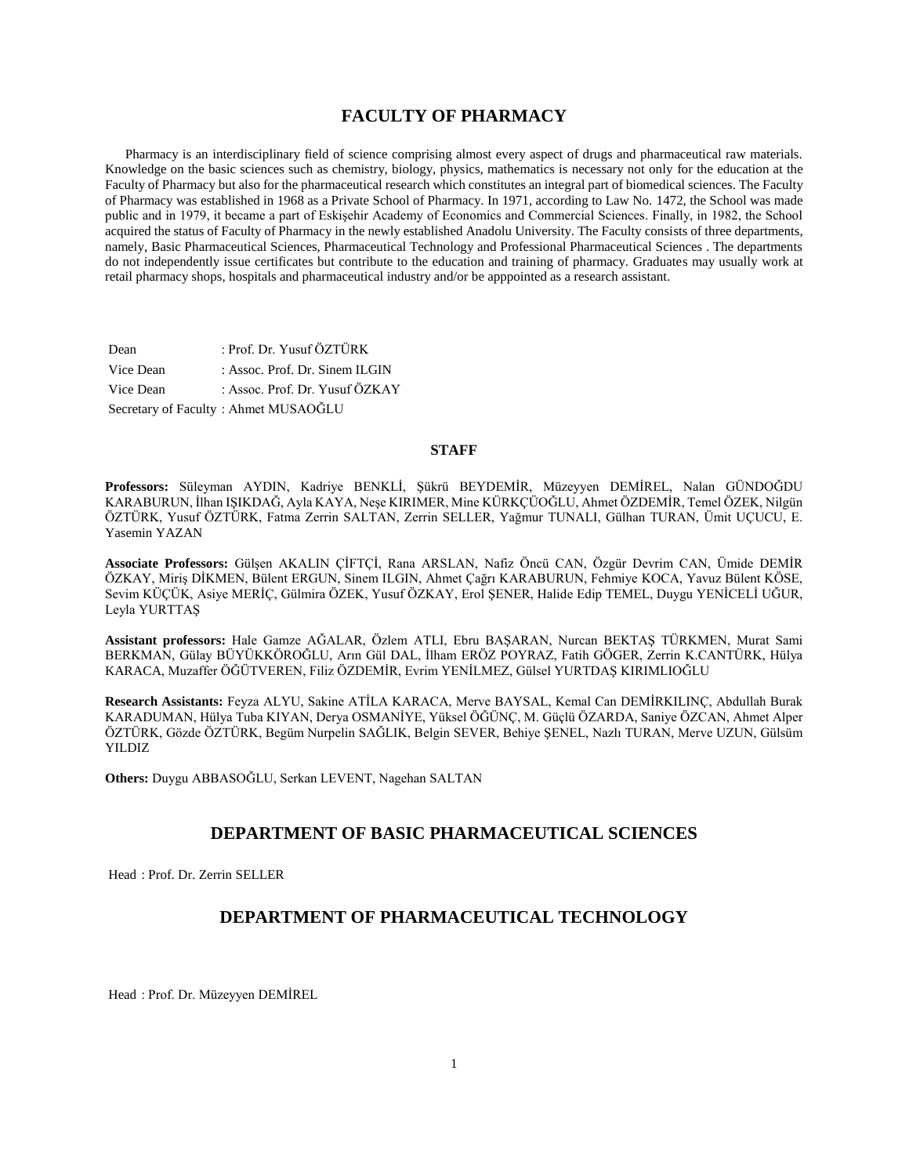# **FACULTY OF PHARMACY**

 Pharmacy is an interdisciplinary field of science comprising almost every aspect of drugs and pharmaceutical raw materials. Knowledge on the basic sciences such as chemistry, biology, physics, mathematics is necessary not only for the education at the Faculty of Pharmacy but also for the pharmaceutical research which constitutes an integral part of biomedical sciences. The Faculty of Pharmacy was established in 1968 as a Private School of Pharmacy. In 1971, according to Law No. 1472, the School was made public and in 1979, it became a part of Eskişehir Academy of Economics and Commercial Sciences. Finally, in 1982, the School acquired the status of Faculty of Pharmacy in the newly established Anadolu University. The Faculty consists of three departments, namely, Basic Pharmaceutical Sciences, Pharmaceutical Technology and Professional Pharmaceutical Sciences . The departments do not independently issue certificates but contribute to the education and training of pharmacy. Graduates may usually work at retail pharmacy shops, hospitals and pharmaceutical industry and/or be apppointed as a research assistant.

| Dean      | : Prof. Dr. Yusuf ÖZTÜRK             |
|-----------|--------------------------------------|
| Vice Dean | : Assoc. Prof. Dr. Sinem ILGIN       |
| Vice Dean | : Assoc. Prof. Dr. Yusuf ÖZKAY       |
|           | Secretary of Faculty: Ahmet MUSAOĞLU |

### **STAFF**

**Professors:** Süleyman AYDIN, Kadriye BENKLİ, Şükrü BEYDEMİR, Müzeyyen DEMİREL, Nalan GÜNDOĞDU KARABURUN, İlhan IŞIKDAĞ, Ayla KAYA, Neşe KIRIMER, Mine KÜRKÇÜOĞLU, Ahmet ÖZDEMİR, Temel ÖZEK, Nilgün ÖZTÜRK, Yusuf ÖZTÜRK, Fatma Zerrin SALTAN, Zerrin SELLER, Yağmur TUNALI, Gülhan TURAN, Ümit UÇUCU, E. Yasemin YAZAN

**Associate Professors:** Gülşen AKALIN ÇİFTÇİ, Rana ARSLAN, Nafiz Öncü CAN, Özgür Devrim CAN, Ümide DEMİR ÖZKAY, Miriş DİKMEN, Bülent ERGUN, Sinem ILGIN, Ahmet Çağrı KARABURUN, Fehmiye KOCA, Yavuz Bülent KÖSE, Sevim KÜÇÜK, Asiye MERİÇ, Gülmira ÖZEK, Yusuf ÖZKAY, Erol ŞENER, Halide Edip TEMEL, Duygu YENİCELİ UĞUR, Leyla YURTTAŞ

**Assistant professors:** Hale Gamze AĞALAR, Özlem ATLI, Ebru BAŞARAN, Nurcan BEKTAŞ TÜRKMEN, Murat Sami BERKMAN, Gülay BÜYÜKKÖROĞLU, Arın Gül DAL, İlham ERÖZ POYRAZ, Fatih GÖGER, Zerrin K.CANTÜRK, Hülya KARACA, Muzaffer ÖĞÜTVEREN, Filiz ÖZDEMİR, Evrim YENİLMEZ, Gülsel YURTDAŞ KIRIMLIOĞLU

**Research Assistants:** Feyza ALYU, Sakine ATİLA KARACA, Merve BAYSAL, Kemal Can DEMİRKILINÇ, Abdullah Burak KARADUMAN, Hülya Tuba KIYAN, Derya OSMANİYE, Yüksel ÖĞÜNÇ, M. Güçlü ÖZARDA, Saniye ÖZCAN, Ahmet Alper ÖZTÜRK, Gözde ÖZTÜRK, Begüm Nurpelin SAĞLIK, Belgin SEVER, Behiye ŞENEL, Nazlı TURAN, Merve UZUN, Gülsüm YILDIZ

**Others:** Duygu ABBASOĞLU, Serkan LEVENT, Nagehan SALTAN

# **DEPARTMENT OF BASIC PHARMACEUTICAL SCIENCES**

Head : Prof. Dr. Zerrin SELLER

## **DEPARTMENT OF PHARMACEUTICAL TECHNOLOGY**

Head : Prof. Dr. Müzeyyen DEMİREL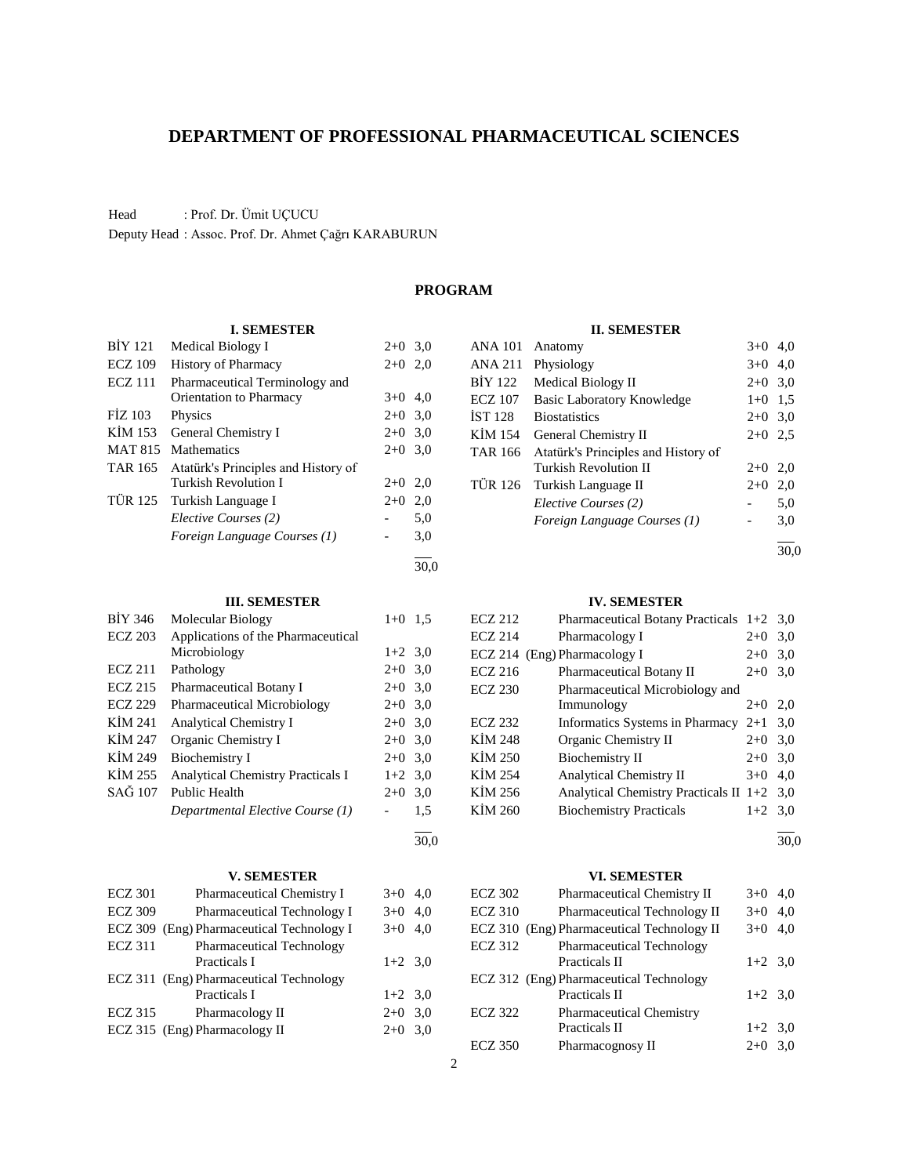# **DEPARTMENT OF PROFESSIONAL PHARMACEUTICAL SCIENCES**

Head : Prof. Dr. Ümit UÇUCU

Deputy Head : Assoc. Prof. Dr. Ahmet Çağrı KARABURUN

# **PROGRAM**

#### **I. SEMESTER**

| <b>BIY 121</b> | Medical Biology I                   | $2+0$     | 3,0  |
|----------------|-------------------------------------|-----------|------|
| <b>ECZ 109</b> | <b>History of Pharmacy</b>          | $2+0$ 2,0 |      |
| <b>ECZ</b> 111 | Pharmaceutical Terminology and      |           |      |
|                | Orientation to Pharmacy             | $3+0$     | 4,0  |
| <b>FIZ 103</b> | Physics                             | $2+0$ 3.0 |      |
| KIM 153        | General Chemistry I                 | $2+0$ 3.0 |      |
| <b>MAT 815</b> | <b>Mathematics</b>                  | $2+0$ 3.0 |      |
| <b>TAR 165</b> | Atatürk's Principles and History of |           |      |
|                | Turkish Revolution I                | $2+0$     | 2,0  |
| TÜR 125        | Turkish Language I                  | $2+0$     | 2,0  |
|                | Elective Courses (2)                |           | 5,0  |
|                | Foreign Language Courses (1)        |           | 3,0  |
|                |                                     |           | 30.0 |

### **III. SEMESTER**

| <b>BIY 346</b> | <b>Molecular Biology</b>                 | $1+0$     | 1.5 |
|----------------|------------------------------------------|-----------|-----|
| <b>ECZ 203</b> | Applications of the Pharmaceutical       |           |     |
|                | Microbiology                             | $1+2$ 3.0 |     |
| <b>ECZ 211</b> | Pathology                                | $2+0$ 3,0 |     |
| <b>ECZ 215</b> | <b>Pharmaceutical Botany I</b>           | $2+0$ 3,0 |     |
| <b>ECZ 229</b> | <b>Pharmaceutical Microbiology</b>       | $2+0$ 3,0 |     |
| KIM 241        | <b>Analytical Chemistry I</b>            | $2+0$ 3,0 |     |
| KİM 247        | Organic Chemistry I                      | $2+0$ 3,0 |     |
| KİM 249        | Biochemistry I                           | $2+0$ 3,0 |     |
| KIM 255        | <b>Analytical Chemistry Practicals I</b> | $1+2$ 3,0 |     |
| SAĞ 107        | <b>Public Health</b>                     | $2+0$     | 3,0 |
|                | Departmental Elective Course (1)         |           | 1,5 |

### **V. SEMESTER**

| <b>ECZ 301</b> | Pharmaceutical Chemistry I                | $3+0$     | -4,0 |
|----------------|-------------------------------------------|-----------|------|
| <b>ECZ 309</b> | Pharmaceutical Technology I               | $3+0$ 4,0 |      |
|                | ECZ 309 (Eng) Pharmaceutical Technology I | $3+0$ 4,0 |      |
| <b>ECZ 311</b> | Pharmaceutical Technology                 |           |      |
|                | Practicals I                              | $1+2$ 3,0 |      |
|                | ECZ 311 (Eng) Pharmaceutical Technology   |           |      |
|                | Practicals I                              | $1+2$ 3,0 |      |
| <b>ECZ 315</b> | Pharmacology II                           | $2+0$ 3,0 |      |
|                | ECZ 315 (Eng) Pharmacology II             | $2+0$     | 3,0  |
|                |                                           |           |      |

### **II. SEMESTER**

| <b>ANA 101</b> | Anatomy                             | $3+0$     | 4.0 |
|----------------|-------------------------------------|-----------|-----|
| <b>ANA 211</b> | Physiology                          | $3+0$     | 4,0 |
| <b>BIY 122</b> | Medical Biology II                  | $2+0$     | 3,0 |
| <b>ECZ 107</b> | <b>Basic Laboratory Knowledge</b>   | $1 + 0$   | 1.5 |
| <b>IST 128</b> | <b>Biostatistics</b>                | $2+0$ 3,0 |     |
| KIM 154        | General Chemistry II                | $2+0$     | 2.5 |
| TAR 166        | Atatürk's Principles and History of |           |     |
|                | Turkish Revolution II               | $2+0$     | 2,0 |
| <b>TÜR 126</b> | Turkish Language II                 | $2+0$     | 2,0 |
|                | Elective Courses (2)                |           | 5,0 |
|                | Foreign Language Courses (1)        |           | 3,0 |
|                |                                     |           |     |

30,0

### **IV. SEMESTER**

| <b>ECZ 212</b> | Pharmaceutical Botany Practicals $1+2$ 3,0   |           |     |
|----------------|----------------------------------------------|-----------|-----|
| <b>ECZ 214</b> | Pharmacology I                               | $2+0$     | 3,0 |
|                | ECZ 214 (Eng) Pharmacology I                 | $2+0$     | 3,0 |
| <b>ECZ 216</b> | <b>Pharmaceutical Botany II</b>              | $2+0$     | 3,0 |
| <b>ECZ 230</b> | Pharmaceutical Microbiology and              |           |     |
|                | Immunology                                   | $2+0$     | 2,0 |
| ECZ 232        | Informatics Systems in Pharmacy $2+1$        |           | 3,0 |
| KİM 248        | Organic Chemistry II                         | $2+0$     | 3,0 |
| KİM 250        | <b>Biochemistry II</b>                       | $2+0$ 3,0 |     |
| KİM 254        | <b>Analytical Chemistry II</b>               | $3+0$     | 4,0 |
| KİM 256        | Analytical Chemistry Practicals II $1+2$ 3,0 |           |     |
| KİM 260        | <b>Biochemistry Practicals</b>               | $1+2$ 3,0 |     |
|                |                                              |           |     |

l 30,0

### **VI. SEMESTER**

| <b>ECZ 302</b> | Pharmaceutical Chemistry II                | $3+0$     | 4.0 |
|----------------|--------------------------------------------|-----------|-----|
| <b>ECZ 310</b> | Pharmaceutical Technology II               | $3+0$     | 4,0 |
|                | ECZ 310 (Eng) Pharmaceutical Technology II | $3+0$     | 4.0 |
| <b>ECZ 312</b> | <b>Pharmaceutical Technology</b>           |           |     |
|                | Practicals II                              | $1+2$ 3,0 |     |
|                | ECZ 312 (Eng) Pharmaceutical Technology    |           |     |
|                | Practicals II                              | $1+2$ 3,0 |     |
| <b>ECZ 322</b> | <b>Pharmaceutical Chemistry</b>            |           |     |
|                | Practicals II                              | $1+2$ 3,0 |     |
| <b>ECZ 350</b> | Pharmacognosy II                           | $2+0$     | 3.0 |

l 30,0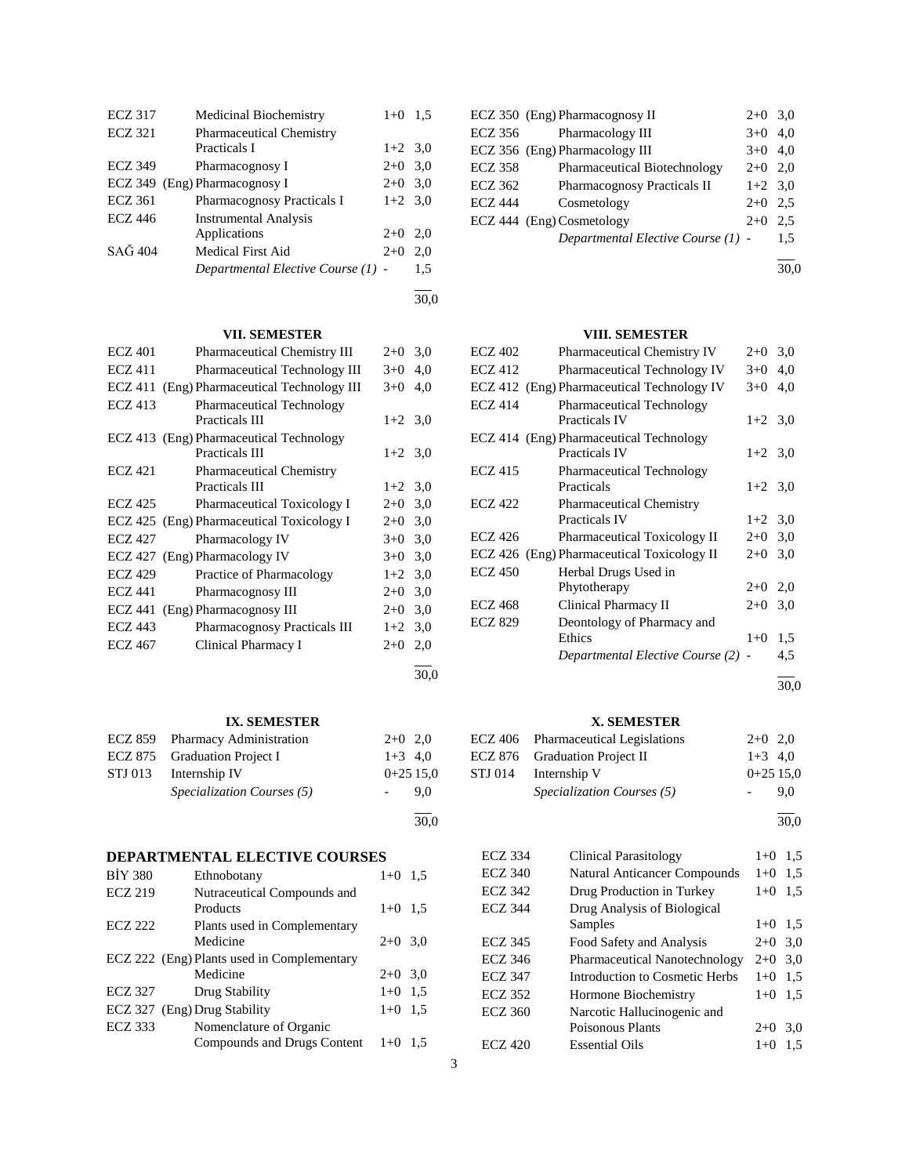| <b>ECZ 317</b>    | Medicinal Biochemistry             | $1+0$     | 1,5 |
|-------------------|------------------------------------|-----------|-----|
| <b>ECZ 321</b>    | <b>Pharmaceutical Chemistry</b>    |           |     |
|                   | Practicals I                       | $1+2$ 3.0 |     |
| <b>ECZ 349</b>    | Pharmacognosy I                    | $2+0$ 3.0 |     |
| ECZ 349           | (Eng) Pharmacognosy I              | $2+0$     | 3,0 |
| <b>ECZ</b> 361    | <b>Pharmacognosy Practicals I</b>  | $1+2$ 3.0 |     |
| ECZ 446           | <b>Instrumental Analysis</b>       |           |     |
|                   | Applications                       | $2+0$     | 2,0 |
| $SA\tilde{G}$ 404 | Medical First Aid                  | $2+0$     | 2,0 |
|                   | Departmental Elective Course (1) - |           | 1,5 |
|                   |                                    |           |     |

### 30,0

30,0

30,0

# **VII. SEMESTER**

| <b>ECZ 401</b> | Pharmaceutical Chemistry III              | $2+0$     | 3,0 |
|----------------|-------------------------------------------|-----------|-----|
| <b>ECZ</b> 411 | <b>Pharmaceutical Technology III</b>      | $3+0$     | 4,0 |
| ECZ 411        | (Eng) Pharmaceutical Technology III       | $3+0$     | 4,0 |
| <b>ECZ 413</b> | <b>Pharmaceutical Technology</b>          |           |     |
|                | Practicals III                            | $1+2$ 3.0 |     |
|                | ECZ 413 (Eng) Pharmaceutical Technology   |           |     |
|                | Practicals III                            | $1+2$ 3.0 |     |
| <b>ECZ 421</b> | <b>Pharmaceutical Chemistry</b>           |           |     |
|                | Practicals III                            | $1+2$ 3,0 |     |
| ECZ 425        | Pharmaceutical Toxicology I               | $2+0$     | 3,0 |
|                | ECZ 425 (Eng) Pharmaceutical Toxicology I | $2+0$     | 3,0 |
| <b>ECZ 427</b> | Pharmacology IV                           | $3+0$     | 3,0 |
|                | ECZ 427 (Eng) Pharmacology IV             | $3+0$     | 3,0 |
| <b>ECZ 429</b> | Practice of Pharmacology                  | $1+2$     | 3,0 |
| <b>ECZ 441</b> | Pharmacognosy III                         | $2+0$     | 3,0 |
| ECZ 441        | (Eng) Pharmacognosy III                   | $2+0$     | 3,0 |
| <b>ECZ 443</b> | Pharmacognosy Practicals III              | $1+2$ 3,0 |     |
| <b>ECZ</b> 467 | Clinical Pharmacy I                       | $2+0$     | 2,0 |
|                |                                           |           |     |

## **IX. SEMESTER**

| ECZ 859 Pharmacy Administration   | $2+0$ 2.0  | E) |
|-----------------------------------|------------|----|
| ECZ 875 Graduation Project I      | $1+3$ 4,0  | E  |
| STJ 013 Internship IV             | $0+2515.0$ | S. |
| <i>Specialization Courses</i> (5) | 9.0        |    |
|                                   |            |    |

# **DEPARTMENTAL ELECTIVE COURSES**

| <b>BIY 380</b> | Ethnobotany                                | $1 + 0$   | 1.5 |
|----------------|--------------------------------------------|-----------|-----|
| <b>ECZ 219</b> | Nutraceutical Compounds and<br>Products    | $1+0$     | 1.5 |
| <b>ECZ 222</b> | Plants used in Complementary               |           |     |
|                | Medicine                                   | $2+0$ 3.0 |     |
|                | ECZ 222 (Eng) Plants used in Complementary |           |     |
|                | Medicine                                   | $2+0$ 3.0 |     |
| <b>ECZ 327</b> | Drug Stability                             | $1 + 0$   | 1.5 |
|                | ECZ 327 (Eng) Drug Stability               | $1 + 0$   | 1.5 |
| <b>ECZ 333</b> | Nomenclature of Organic                    |           |     |
|                | Compounds and Drugs Content                | $1+0$     | 1.5 |
|                |                                            |           |     |

|                | ECZ 350 (Eng) Pharmacognosy II     | $2+0$ 3.0 |     |
|----------------|------------------------------------|-----------|-----|
| ECZ 356        | Pharmacology III                   | $3+0$ 4.0 |     |
|                | ECZ 356 (Eng) Pharmacology III     | $3+0$ 4.0 |     |
| <b>ECZ 358</b> | Pharmaceutical Biotechnology       | $2+0$ 2.0 |     |
| <b>ECZ 362</b> | Pharmacognosy Practicals II        | $1+2$ 3.0 |     |
| <b>ECZ 444</b> | Cosmetology                        | $2+0$ 2.5 |     |
|                | ECZ 444 (Eng) Cosmetology          | $2+0$     | 2.5 |
|                | Departmental Elective Course (1) - |           | 1,5 |
|                |                                    |           |     |

30,0

# **VIII. SEMESTER**

| <b>ECZ 402</b> | <b>Pharmaceutical Chemistry IV</b>         | $2+0$     | 3,0 |
|----------------|--------------------------------------------|-----------|-----|
| <b>ECZ 412</b> | <b>Pharmaceutical Technology IV</b>        | $3+0$     | 4,0 |
|                | ECZ 412 (Eng) Pharmaceutical Technology IV | $3+0$     | 4,0 |
| <b>ECZ 414</b> | <b>Pharmaceutical Technology</b>           |           |     |
|                | <b>Practicals IV</b>                       | $1+2$ 3.0 |     |
|                | ECZ 414 (Eng) Pharmaceutical Technology    |           |     |
|                | <b>Practicals IV</b>                       | $1+2$ 3.0 |     |
| <b>ECZ 415</b> | <b>Pharmaceutical Technology</b>           |           |     |
|                | Practicals                                 | $1+2$ 3.0 |     |
| <b>ECZ 422</b> | <b>Pharmaceutical Chemistry</b>            |           |     |
|                | <b>Practicals IV</b>                       | $1+2$ 3.0 |     |
| <b>ECZ 426</b> | <b>Pharmaceutical Toxicology II</b>        | $2+0$ 3,0 |     |
|                | ECZ 426 (Eng) Pharmaceutical Toxicology II | $2+0$ 3,0 |     |
| <b>ECZ 450</b> | Herbal Drugs Used in                       |           |     |
|                | Phytotherapy                               | $2+0$ 2,0 |     |
| <b>ECZ 468</b> | Clinical Pharmacy II                       | $2+0$     | 3,0 |
| <b>ECZ 829</b> | Deontology of Pharmacy and                 |           |     |
|                | Ethics                                     | $1+0$     | 1,5 |
|                | Departmental Elective Course (2) -         |           | 4,5 |

l 30,0

### **X. SEMESTER**

| ECZ 406 Pharmaceutical Legislations | $2+0$ 2.0  |     |
|-------------------------------------|------------|-----|
| ECZ 876 Graduation Project II       | $1+3$ 4.0  |     |
| STJ 014 Internship V                | $0+2515.0$ |     |
| Specialization Courses (5)          |            | 9.0 |

l 30,0

| <b>ECZ 334</b> | <b>Clinical Parasitology</b>        | $1+0$     | 1.5 |
|----------------|-------------------------------------|-----------|-----|
| ECZ 340        | <b>Natural Anticancer Compounds</b> | $1+0$     | 1.5 |
| ECZ 342        | Drug Production in Turkey           | $1+0$     | 1.5 |
| ECZ 344        | Drug Analysis of Biological         |           |     |
|                | Samples                             | $1+0$ 1.5 |     |
| ECZ 345        | Food Safety and Analysis            | $2+0$     | 3,0 |
| ECZ 346        | Pharmaceutical Nanotechnology       | $2+0$ 3,0 |     |
| ECZ 347        | Introduction to Cosmetic Herbs      | $1 + 0$   | 1.5 |
| ECZ 352        | Hormone Biochemistry                | $1+0$     | 1,5 |
| <b>ECZ 360</b> | Narcotic Hallucinogenic and         |           |     |
|                | Poisonous Plants                    | $2+0$     | 3,0 |
| ECZ 420        | <b>Essential Oils</b>               | $1+0$     | 1.5 |
|                |                                     |           |     |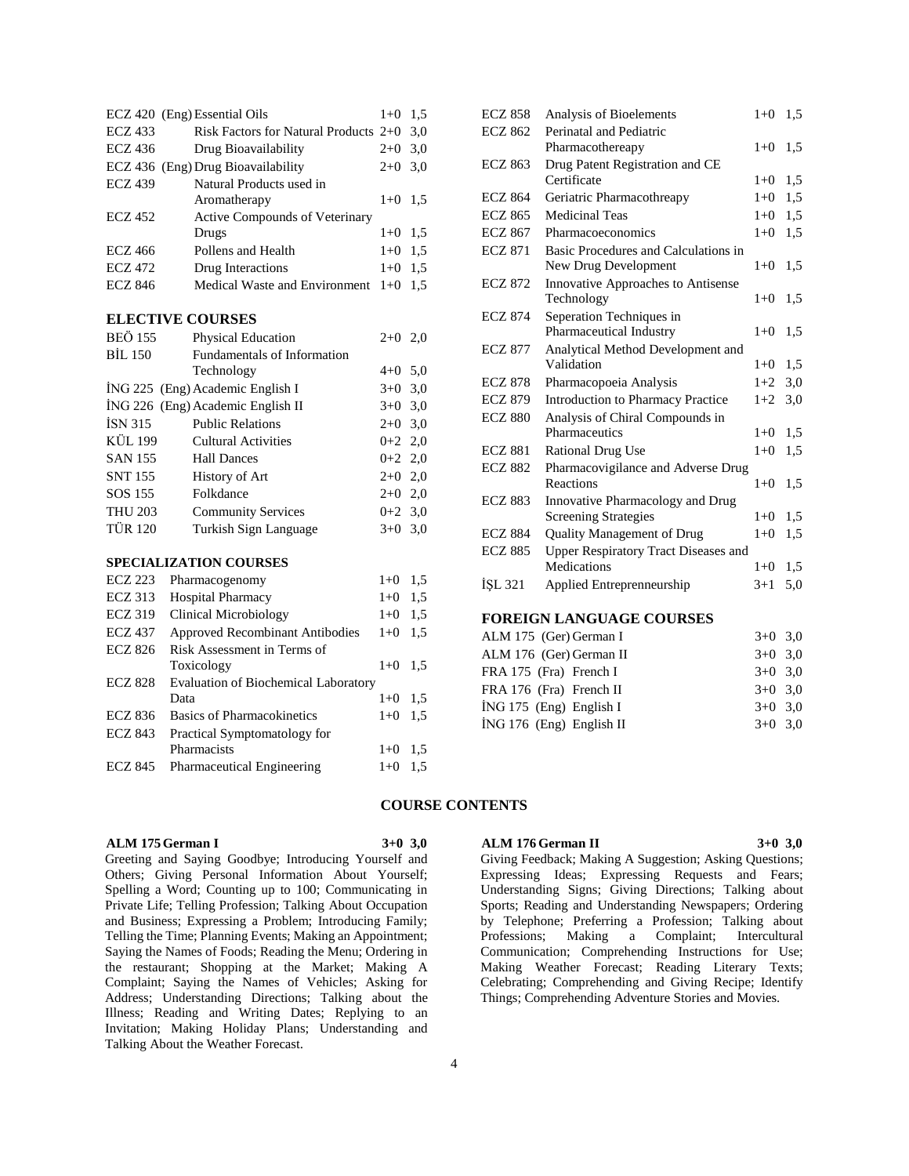|                | ECZ 420 (Eng) Essential Oils            | $1+0$ 1.5 |     |
|----------------|-----------------------------------------|-----------|-----|
| <b>ECZ</b> 433 | Risk Factors for Natural Products $2+0$ |           | 3.0 |
| ECZ 436        | Drug Bioavailability                    | $2+0$     | 3,0 |
|                | ECZ 436 (Eng) Drug Bioavailability      | $2+0$     | 3,0 |
| <b>ECZ 439</b> | Natural Products used in                |           |     |
|                | Aromatherapy                            | $1+0$     | 1.5 |
| <b>ECZ 452</b> | <b>Active Compounds of Veterinary</b>   |           |     |
|                | Drugs                                   | $1+0$ 1.5 |     |
| <b>ECZ 466</b> | Pollens and Health                      | $1+0$     | 1.5 |
| <b>ECZ 472</b> | Drug Interactions                       | $1+0$     | 1.5 |
| <b>ECZ 846</b> | Medical Waste and Environment           | $1+0$     | 1.5 |
|                |                                         |           |     |

## **ELECTIVE COURSES**

| <b>BEÖ 155</b> | Physical Education                | $2+0$ 2.0 |  |
|----------------|-----------------------------------|-----------|--|
| <b>BIL 150</b> | Fundamentals of Information       |           |  |
|                | Technology                        | $4+0$ 5.0 |  |
|                | ING 225 (Eng) Academic English I  | $3+0$ 3,0 |  |
|                | ING 226 (Eng) Academic English II | $3+0$ 3,0 |  |
| ISN 315        | <b>Public Relations</b>           | $2+0$ 3,0 |  |
| <b>KÜL 199</b> | Cultural Activities               | $0+2$ 2,0 |  |
| SAN 155        | <b>Hall Dances</b>                | $0+2$ 2,0 |  |
| <b>SNT 155</b> | History of Art                    | $2+0$ 2,0 |  |
| SOS 155        | Folkdance                         | $2+0$ 2,0 |  |
| <b>THU 203</b> | <b>Community Services</b>         | $0+2$ 3.0 |  |
| <b>TÜR 120</b> | Turkish Sign Language             | $3+0$ 3.0 |  |
|                |                                   |           |  |

### **SPECIALIZATION COURSES**

| <b>ECZ 223</b> | Pharmacogenomy                              | $1+0$   | 1.5 |
|----------------|---------------------------------------------|---------|-----|
| <b>ECZ</b> 313 | Hospital Pharmacy                           | $1+0$   | 1.5 |
| <b>ECZ 319</b> | Clinical Microbiology                       | $1+0$   | 1.5 |
| <b>ECZ 437</b> | <b>Approved Recombinant Antibodies</b>      | $1 + 0$ | 1.5 |
| <b>ECZ 826</b> | Risk Assessment in Terms of                 |         |     |
|                | Toxicology                                  | $1+0$   | 1,5 |
| <b>ECZ 828</b> | <b>Evaluation of Biochemical Laboratory</b> |         |     |
|                | Data                                        | $1+0$   | 1.5 |
| ECZ 836        | <b>Basics of Pharmacokinetics</b>           | $1 + 0$ | 1.5 |
| <b>ECZ 843</b> | Practical Symptomatology for                |         |     |
|                | Pharmacists                                 | $1+0$   | 1,5 |
| <b>ECZ 845</b> | <b>Pharmaceutical Engineering</b>           | $1 + 0$ | 1,5 |
|                |                                             |         |     |

| <b>ECZ 858</b> | Analysis of Bioelements                     | $1+0$   | 1,5 |
|----------------|---------------------------------------------|---------|-----|
| <b>ECZ 862</b> | Perinatal and Pediatric                     |         |     |
|                | Pharmacothereapy                            | $1+0$   | 1,5 |
| <b>ECZ 863</b> | Drug Patent Registration and CE             |         |     |
|                | Certificate                                 | $1 + 0$ | 1,5 |
| <b>ECZ 864</b> | Geriatric Pharmacothreapy                   | $1+0$   | 1,5 |
| <b>ECZ 865</b> | Medicinal Teas                              | $1+0$   | 1,5 |
| <b>ECZ 867</b> | Pharmacoeconomics                           | $1 + 0$ | 1,5 |
| <b>ECZ 871</b> | Basic Procedures and Calculations in        |         |     |
|                | New Drug Development                        | $1+0$   | 1,5 |
| <b>ECZ 872</b> | Innovative Approaches to Antisense          |         |     |
|                | Technology                                  | $1 + 0$ | 1.5 |
| <b>ECZ 874</b> | Seperation Techniques in                    |         |     |
|                | Pharmaceutical Industry                     | $1+0$   | 1.5 |
| <b>ECZ 877</b> | Analytical Method Development and           |         |     |
|                | Validation                                  | $1+0$   | 1.5 |
| <b>ECZ 878</b> | Pharmacopoeia Analysis                      | $1+2$   | 3,0 |
| <b>ECZ 879</b> | <b>Introduction to Pharmacy Practice</b>    | $1+2$   | 3,0 |
| <b>ECZ 880</b> | Analysis of Chiral Compounds in             |         |     |
|                | Pharmaceutics                               | $1+0$   | 1,5 |
| <b>ECZ 881</b> | <b>Rational Drug Use</b>                    | $1+0$   | 1.5 |
| <b>ECZ 882</b> | Pharmacovigilance and Adverse Drug          |         |     |
|                | Reactions                                   | $1+0$   | 1.5 |
| <b>ECZ 883</b> | Innovative Pharmacology and Drug            |         |     |
|                | <b>Screening Strategies</b>                 | $1+0$   | 1,5 |
| <b>ECZ 884</b> | <b>Quality Management of Drug</b>           | $1 + 0$ | 1.5 |
| <b>ECZ 885</b> | <b>Upper Respiratory Tract Diseases and</b> |         |     |
|                | Medications                                 | $1+0$   | 1,5 |
| <b>ISL 321</b> | Applied Entreprenneurship                   | $3+1$   | 5,0 |
|                |                                             |         |     |

### **FOREIGN LANGUAGE COURSES**

| ALM 175 (Ger) German I     | $3+0$ 3.0 |  |
|----------------------------|-----------|--|
| ALM 176 (Ger) German II    | $3+0$ 3.0 |  |
| FRA 175 (Fra) French I     | $3+0$ 3.0 |  |
| FRA 176 (Fra) French II    | $3+0$ 3.0 |  |
| $ING 175$ (Eng) English I  | $3+0$ 3.0 |  |
| $ING 176$ (Eng) English II | $3+0$ 3.0 |  |
|                            |           |  |

### **COURSE CONTENTS**

### **ALM 175 German I 3+0 3,0**

Greeting and Saying Goodbye; Introducing Yourself and Others; Giving Personal Information About Yourself; Spelling a Word; Counting up to 100; Communicating in Private Life; Telling Profession; Talking About Occupation and Business; Expressing a Problem; Introducing Family; Telling the Time; Planning Events; Making an Appointment; Saying the Names of Foods; Reading the Menu; Ordering in the restaurant; Shopping at the Market; Making A Complaint; Saying the Names of Vehicles; Asking for Address; Understanding Directions; Talking about the Illness; Reading and Writing Dates; Replying to an Invitation; Making Holiday Plans; Understanding and Talking About the Weather Forecast.

### **ALM 176 German II 3+0 3,0**

Giving Feedback; Making A Suggestion; Asking Questions; Expressing Ideas; Expressing Requests and Fears; Understanding Signs; Giving Directions; Talking about Sports; Reading and Understanding Newspapers; Ordering by Telephone; Preferring a Profession; Talking about Professions; Making a Complaint; Intercultural Communication; Comprehending Instructions for Use; Making Weather Forecast; Reading Literary Texts; Celebrating; Comprehending and Giving Recipe; Identify Things; Comprehending Adventure Stories and Movies.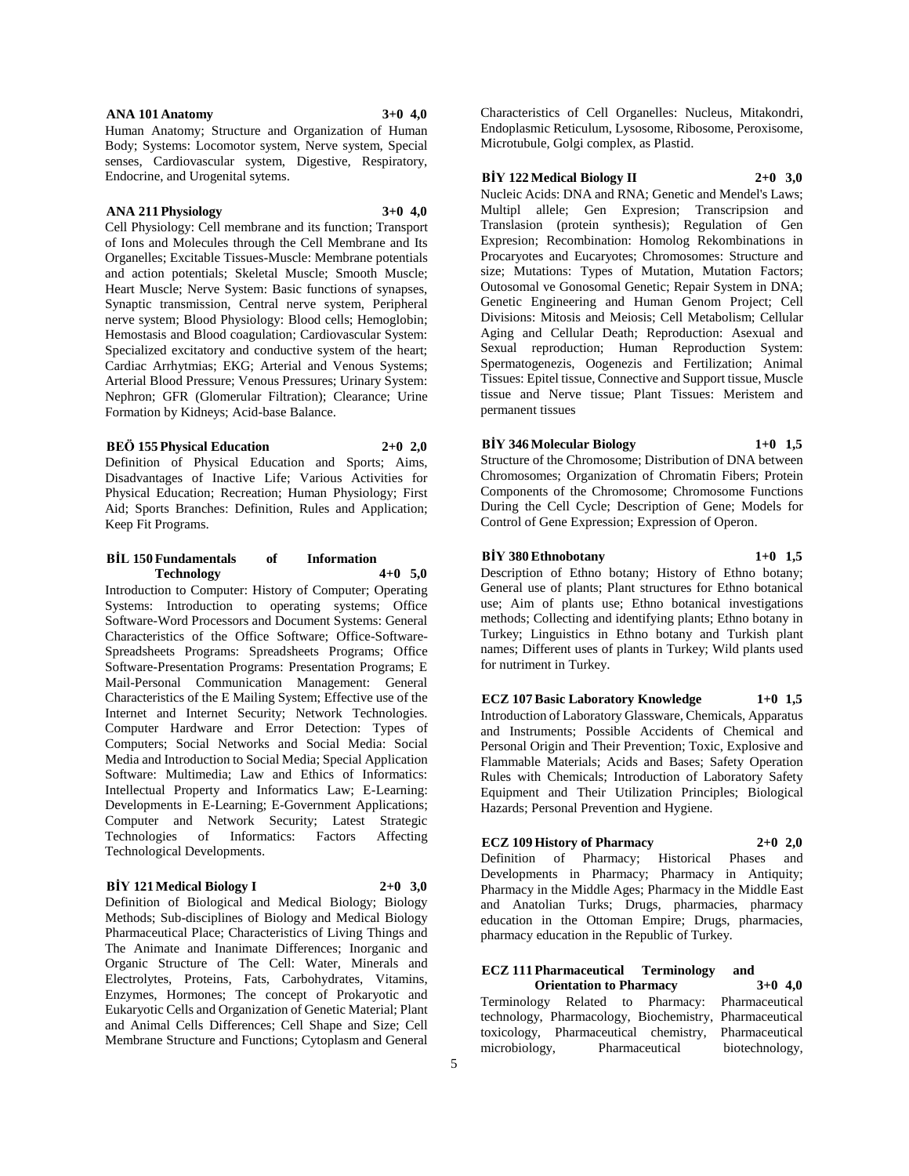### **ANA 101 Anatomy 3+0 4,0**

Human Anatomy; Structure and Organization of Human Body; Systems: Locomotor system, Nerve system, Special senses, Cardiovascular system, Digestive, Respiratory, Endocrine, and Urogenital sytems.

### **ANA 211 Physiology 3+0 4,0**

Cell Physiology: Cell membrane and its function; Transport of Ions and Molecules through the Cell Membrane and Its Organelles; Excitable Tissues-Muscle: Membrane potentials and action potentials; Skeletal Muscle; Smooth Muscle; Heart Muscle; Nerve System: Basic functions of synapses, Synaptic transmission, Central nerve system, Peripheral nerve system; Blood Physiology: Blood cells; Hemoglobin; Hemostasis and Blood coagulation; Cardiovascular System: Specialized excitatory and conductive system of the heart; Cardiac Arrhytmias; EKG; Arterial and Venous Systems; Arterial Blood Pressure; Venous Pressures; Urinary System: Nephron; GFR (Glomerular Filtration); Clearance; Urine Formation by Kidneys; Acid-base Balance.

#### **BEÖ 155 Physical Education 2+0 2,0**

Definition of Physical Education and Sports; Aims, Disadvantages of Inactive Life; Various Activities for Physical Education; Recreation; Human Physiology; First Aid; Sports Branches: Definition, Rules and Application; Keep Fit Programs.

#### **BİL 150 Fundamentals of Information Technology 4+0 5,0**

Introduction to Computer: History of Computer; Operating Systems: Introduction to operating systems; Office Software-Word Processors and Document Systems: General Characteristics of the Office Software; Office-Software-Spreadsheets Programs: Spreadsheets Programs; Office Software-Presentation Programs: Presentation Programs; E Mail-Personal Communication Management: General Characteristics of the E Mailing System; Effective use of the Internet and Internet Security; Network Technologies. Computer Hardware and Error Detection: Types of Computers; Social Networks and Social Media: Social Media and Introduction to Social Media; Special Application Software: Multimedia; Law and Ethics of Informatics: Intellectual Property and Informatics Law; E-Learning: Developments in E-Learning; E-Government Applications; Computer and Network Security; Latest Strategic Technologies of Informatics: Factors Affecting Technological Developments.

### **BİY 121 Medical Biology I 2+0 3,0**

Definition of Biological and Medical Biology; Biology Methods; Sub-disciplines of Biology and Medical Biology Pharmaceutical Place; Characteristics of Living Things and The Animate and Inanimate Differences; Inorganic and Organic Structure of The Cell: Water, Minerals and Electrolytes, Proteins, Fats, Carbohydrates, Vitamins, Enzymes, Hormones; The concept of Prokaryotic and Eukaryotic Cells and Organization of Genetic Material; Plant and Animal Cells Differences; Cell Shape and Size; Cell Membrane Structure and Functions; Cytoplasm and General

Characteristics of Cell Organelles: Nucleus, Mitakondri, Endoplasmic Reticulum, Lysosome, Ribosome, Peroxisome, Microtubule, Golgi complex, as Plastid.

### **BİY 122 Medical Biology II 2+0 3,0**

Nucleic Acids: DNA and RNA; Genetic and Mendel's Laws; Multipl allele; Gen Expresion; Transcripsion and Translasion (protein synthesis); Regulation of Gen Expresion; Recombination: Homolog Rekombinations in Procaryotes and Eucaryotes; Chromosomes: Structure and size; Mutations: Types of Mutation, Mutation Factors; Outosomal ve Gonosomal Genetic; Repair System in DNA; Genetic Engineering and Human Genom Project; Cell Divisions: Mitosis and Meiosis; Cell Metabolism; Cellular Aging and Cellular Death; Reproduction: Asexual and Sexual reproduction; Human Reproduction System: Spermatogenezis, Oogenezis and Fertilization; Animal Tissues: Epitel tissue, Connective and Support tissue, Muscle tissue and Nerve tissue; Plant Tissues: Meristem and permanent tissues

### **BİY 346 Molecular Biology 1+0 1,5**

Structure of the Chromosome; Distribution of DNA between Chromosomes; Organization of Chromatin Fibers; Protein Components of the Chromosome; Chromosome Functions During the Cell Cycle; Description of Gene; Models for Control of Gene Expression; Expression of Operon.

#### **BİY 380 Ethnobotany 1+0 1,5**

Description of Ethno botany; History of Ethno botany; General use of plants; Plant structures for Ethno botanical use; Aim of plants use; Ethno botanical investigations methods; Collecting and identifying plants; Ethno botany in Turkey; Linguistics in Ethno botany and Turkish plant names; Different uses of plants in Turkey; Wild plants used for nutriment in Turkey.

**ECZ 107 Basic Laboratory Knowledge 1+0 1,5** Introduction of Laboratory Glassware, Chemicals, Apparatus and Instruments; Possible Accidents of Chemical and Personal Origin and Their Prevention; Toxic, Explosive and Flammable Materials; Acids and Bases; Safety Operation Rules with Chemicals; Introduction of Laboratory Safety Equipment and Their Utilization Principles; Biological Hazards; Personal Prevention and Hygiene.

### **ECZ 109 History of Pharmacy 2+0 2,0**

Definition of Pharmacy; Historical Phases and Developments in Pharmacy; Pharmacy in Antiquity; Pharmacy in the Middle Ages; Pharmacy in the Middle East and Anatolian Turks; Drugs, pharmacies, pharmacy education in the Ottoman Empire; Drugs, pharmacies, pharmacy education in the Republic of Turkey.

### **ECZ 111 Pharmaceutical Terminology and Orientation to Pharmacy 3+0 4,0**

Terminology Related to Pharmacy: Pharmaceutical technology, Pharmacology, Biochemistry, Pharmaceutical toxicology, Pharmaceutical chemistry, Pharmaceutical microbiology, Pharmaceutical biotechnology,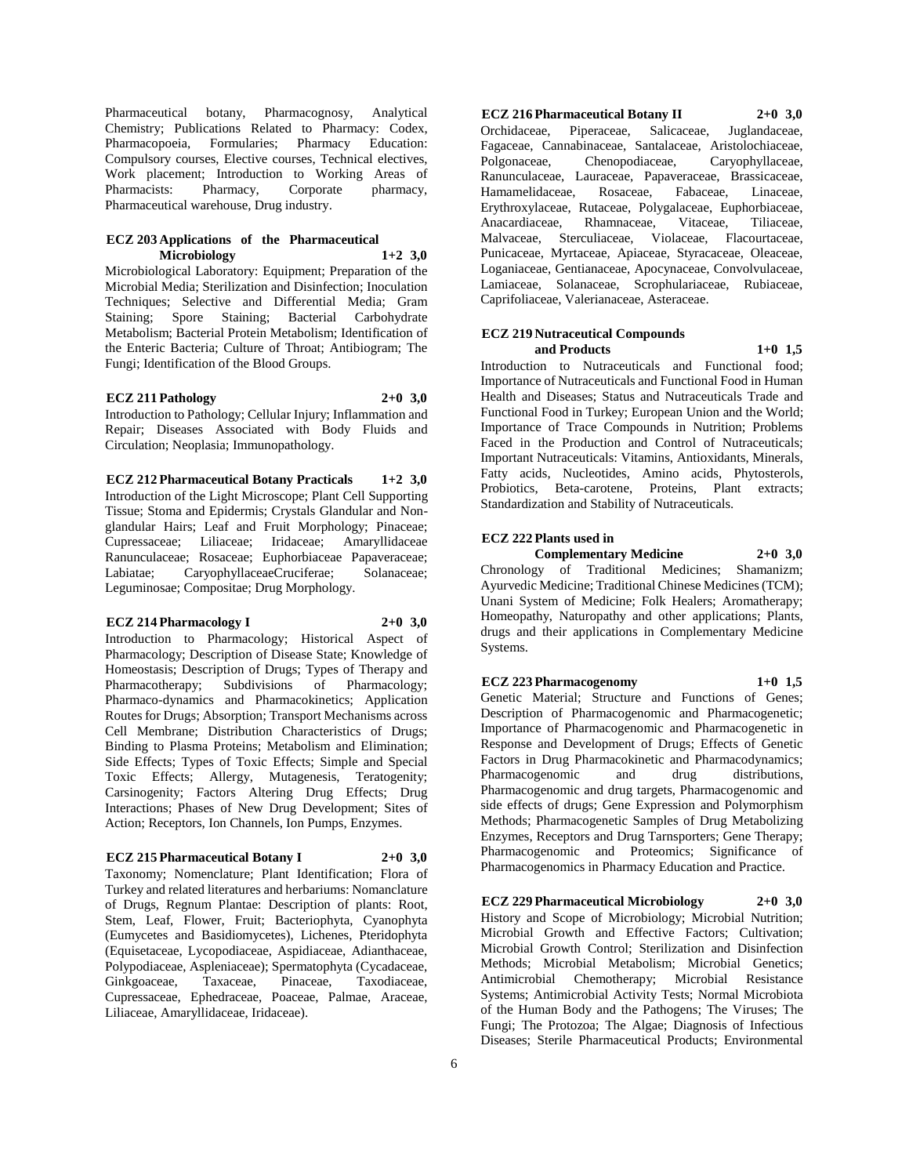Pharmaceutical botany, Pharmacognosy, Analytical Chemistry; Publications Related to Pharmacy: Codex, Formularies; Pharmacy Education: Compulsory courses, Elective courses, Technical electives, Work placement; Introduction to Working Areas of Pharmacists: Pharmacy, Corporate pharmacy, Pharmaceutical warehouse, Drug industry.

#### **ECZ 203 Applications of the Pharmaceutical Microbiology 1+2 3,0**

Microbiological Laboratory: Equipment; Preparation of the Microbial Media; Sterilization and Disinfection; Inoculation Techniques; Selective and Differential Media; Gram Staining; Spore Staining; Bacterial Carbohydrate Metabolism; Bacterial Protein Metabolism; Identification of the Enteric Bacteria; Culture of Throat; Antibiogram; The Fungi; Identification of the Blood Groups.

### **ECZ 211 Pathology 2+0 3,0**

Introduction to Pathology; Cellular Injury; Inflammation and Repair; Diseases Associated with Body Fluids and Circulation; Neoplasia; Immunopathology.

**ECZ 212 Pharmaceutical Botany Practicals 1+2 3,0** Introduction of the Light Microscope; Plant Cell Supporting Tissue; Stoma and Epidermis; Crystals Glandular and Nonglandular Hairs; Leaf and Fruit Morphology; Pinaceae; Cupressaceae; Liliaceae; Iridaceae; Amaryllidaceae Ranunculaceae; Rosaceae; Euphorbiaceae Papaveraceae; Labiatae; CaryophyllaceaeCruciferae; Solanaceae; Leguminosae; Compositae; Drug Morphology.

#### **ECZ 214 Pharmacology I 2+0 3,0**

Introduction to Pharmacology; Historical Aspect of Pharmacology; Description of Disease State; Knowledge of Homeostasis; Description of Drugs; Types of Therapy and Pharmacotherapy; Subdivisions of Pharmacology; Pharmaco-dynamics and Pharmacokinetics; Application Routes for Drugs; Absorption; Transport Mechanisms across Cell Membrane; Distribution Characteristics of Drugs; Binding to Plasma Proteins; Metabolism and Elimination; Side Effects; Types of Toxic Effects; Simple and Special Toxic Effects; Allergy, Mutagenesis, Teratogenity; Carsinogenity; Factors Altering Drug Effects; Drug Interactions; Phases of New Drug Development; Sites of Action; Receptors, Ion Channels, Ion Pumps, Enzymes.

### **ECZ 215 Pharmaceutical Botany I 2+0 3,0**

Taxonomy; Nomenclature; Plant Identification; Flora of Turkey and related literatures and herbariums: Nomanclature of Drugs, Regnum Plantae: Description of plants: Root, Stem, Leaf, Flower, Fruit; Bacteriophyta, Cyanophyta (Eumycetes and Basidiomycetes), Lichenes, Pteridophyta (Equisetaceae, Lycopodiaceae, Aspidiaceae, Adianthaceae, Polypodiaceae, Aspleniaceae); Spermatophyta (Cycadaceae, Ginkgoaceae, Taxaceae, Pinaceae, Taxodiaceae, Cupressaceae, Ephedraceae, Poaceae, Palmae, Araceae, Liliaceae, Amaryllidaceae, Iridaceae).

**ECZ 216 Pharmaceutical Botany II 2+0 3,0** Orchidaceae, Piperaceae, Salicaceae, Juglandaceae, Fagaceae, Cannabinaceae, Santalaceae, Aristolochiaceae, Polgonaceae, Chenopodiaceae, Caryophyllaceae, Ranunculaceae, Lauraceae, Papaveraceae, Brassicaceae, Hamamelidaceae, Rosaceae, Fabaceae, Linaceae, Erythroxylaceae, Rutaceae, Polygalaceae, Euphorbiaceae, Anacardiaceae, Rhamnaceae, Vitaceae, Tiliaceae, Malvaceae, Sterculiaceae, Violaceae, Flacourtaceae, Punicaceae, Myrtaceae, Apiaceae, Styracaceae, Oleaceae, Loganiaceae, Gentianaceae, Apocynaceae, Convolvulaceae, Lamiaceae, Solanaceae, Scrophulariaceae, Rubiaceae, Caprifoliaceae, Valerianaceae, Asteraceae.

#### **ECZ 219 Nutraceutical Compounds and Products 1+0 1,5**

Introduction to Nutraceuticals and Functional food; Importance of Nutraceuticals and Functional Food in Human Health and Diseases; Status and Nutraceuticals Trade and Functional Food in Turkey; European Union and the World; Importance of Trace Compounds in Nutrition; Problems Faced in the Production and Control of Nutraceuticals; Important Nutraceuticals: Vitamins, Antioxidants, Minerals, Fatty acids, Nucleotides, Amino acids, Phytosterols, Probiotics, Beta-carotene, Proteins, Plant extracts; Standardization and Stability of Nutraceuticals.

#### **ECZ 222 Plants used in**

**Complementary Medicine 2+0 3,0** Chronology of Traditional Medicines; Shamanizm; Ayurvedic Medicine; Traditional Chinese Medicines (TCM); Unani System of Medicine; Folk Healers; Aromatherapy; Homeopathy, Naturopathy and other applications; Plants, drugs and their applications in Complementary Medicine Systems.

### **ECZ 223 Pharmacogenomy 1+0 1,5**

Genetic Material; Structure and Functions of Genes; Description of Pharmacogenomic and Pharmacogenetic; Importance of Pharmacogenomic and Pharmacogenetic in Response and Development of Drugs; Effects of Genetic Factors in Drug Pharmacokinetic and Pharmacodynamics; Pharmacogenomic and drug distributions, Pharmacogenomic and drug targets, Pharmacogenomic and side effects of drugs; Gene Expression and Polymorphism Methods; Pharmacogenetic Samples of Drug Metabolizing Enzymes, Receptors and Drug Tarnsporters; Gene Therapy; Pharmacogenomic and Proteomics; Significance of Pharmacogenomics in Pharmacy Education and Practice.

**ECZ 229 Pharmaceutical Microbiology 2+0 3,0** History and Scope of Microbiology; Microbial Nutrition; Microbial Growth and Effective Factors; Cultivation; Microbial Growth Control; Sterilization and Disinfection Methods; Microbial Metabolism; Microbial Genetics; Antimicrobial Chemotherapy; Microbial Resistance Systems; Antimicrobial Activity Tests; Normal Microbiota of the Human Body and the Pathogens; The Viruses; The Fungi; The Protozoa; The Algae; Diagnosis of Infectious Diseases; Sterile Pharmaceutical Products; Environmental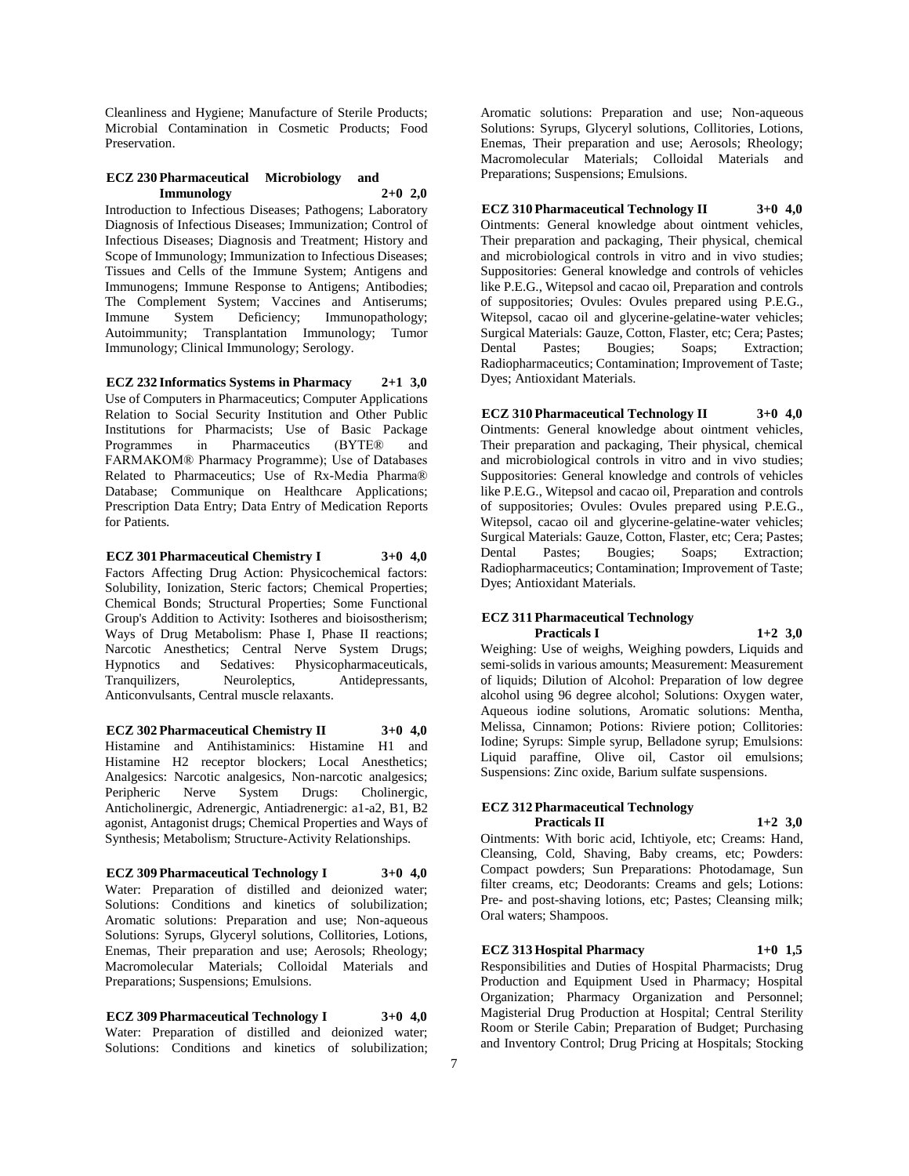Cleanliness and Hygiene; Manufacture of Sterile Products; Microbial Contamination in Cosmetic Products; Food Preservation.

### **ECZ 230 Pharmaceutical Microbiology and Immunology 2+0 2,0**

Introduction to Infectious Diseases; Pathogens; Laboratory Diagnosis of Infectious Diseases; Immunization; Control of Infectious Diseases; Diagnosis and Treatment; History and Scope of Immunology; Immunization to Infectious Diseases; Tissues and Cells of the Immune System; Antigens and Immunogens; Immune Response to Antigens; Antibodies; The Complement System; Vaccines and Antiserums; Immune System Deficiency; Immunopathology; Autoimmunity; Transplantation Immunology; Tumor Immunology; Clinical Immunology; Serology.

**ECZ 232 Informatics Systems in Pharmacy 2+1 3,0** Use of Computers in Pharmaceutics; Computer Applications Relation to Social Security Institution and Other Public Institutions for Pharmacists; Use of Basic Package Programmes in Pharmaceutics (BYTE® and FARMAKOM® Pharmacy Programme); Use of Databases Related to Pharmaceutics; Use of Rx-Media Pharma® Database; Communique on Healthcare Applications; Prescription Data Entry; Data Entry of Medication Reports for Patients.

**ECZ 301 Pharmaceutical Chemistry I 3+0 4,0** Factors Affecting Drug Action: Physicochemical factors: Solubility, Ionization, Steric factors; Chemical Properties; Chemical Bonds; Structural Properties; Some Functional Group's Addition to Activity: Isotheres and bioisostherism; Ways of Drug Metabolism: Phase I, Phase II reactions; Narcotic Anesthetics; Central Nerve System Drugs; Hypnotics and Sedatives: Physicopharmaceuticals, Tranquilizers, Neuroleptics, Antidepressants, Anticonvulsants, Central muscle relaxants.

**ECZ 302 Pharmaceutical Chemistry II 3+0 4,0** Histamine and Antihistaminics: Histamine H1 and Histamine H2 receptor blockers; Local Anesthetics; Analgesics: Narcotic analgesics, Non-narcotic analgesics;<br>Peripheric Nerve System Drugs: Cholinergic, Peripheric Nerve System Drugs: Cholinergic, Anticholinergic, Adrenergic, Antiadrenergic: a1-a2, B1, B2 agonist, Antagonist drugs; Chemical Properties and Ways of Synthesis; Metabolism; Structure-Activity Relationships.

# **ECZ 309 Pharmaceutical Technology I 3+0 4,0**

Water: Preparation of distilled and deionized water; Solutions: Conditions and kinetics of solubilization; Aromatic solutions: Preparation and use; Non-aqueous Solutions: Syrups, Glyceryl solutions, Collitories, Lotions, Enemas, Their preparation and use; Aerosols; Rheology; Macromolecular Materials; Colloidal Materials and Preparations; Suspensions; Emulsions.

**ECZ 309 Pharmaceutical Technology I 3+0 4,0** Water: Preparation of distilled and deionized water; Solutions: Conditions and kinetics of solubilization;

Aromatic solutions: Preparation and use; Non-aqueous Solutions: Syrups, Glyceryl solutions, Collitories, Lotions, Enemas, Their preparation and use; Aerosols; Rheology; Macromolecular Materials; Colloidal Materials and Preparations; Suspensions; Emulsions.

**ECZ 310 Pharmaceutical Technology II 3+0 4,0** Ointments: General knowledge about ointment vehicles, Their preparation and packaging, Their physical, chemical and microbiological controls in vitro and in vivo studies; Suppositories: General knowledge and controls of vehicles like P.E.G., Witepsol and cacao oil, Preparation and controls of suppositories; Ovules: Ovules prepared using P.E.G., Witepsol, cacao oil and glycerine-gelatine-water vehicles; Surgical Materials: Gauze, Cotton, Flaster, etc; Cera; Pastes; Dental Pastes; Bougies; Soaps; Extraction; Radiopharmaceutics; Contamination; Improvement of Taste; Dyes; Antioxidant Materials.

**ECZ 310 Pharmaceutical Technology II 3+0 4,0** Ointments: General knowledge about ointment vehicles, Their preparation and packaging, Their physical, chemical and microbiological controls in vitro and in vivo studies; Suppositories: General knowledge and controls of vehicles like P.E.G., Witepsol and cacao oil, Preparation and controls of suppositories; Ovules: Ovules prepared using P.E.G., Witepsol, cacao oil and glycerine-gelatine-water vehicles; Surgical Materials: Gauze, Cotton, Flaster, etc; Cera; Pastes; Dental Pastes; Bougies; Soaps; Extraction; Radiopharmaceutics; Contamination; Improvement of Taste; Dyes; Antioxidant Materials.

### **ECZ 311 Pharmaceutical Technology Practicals I 1+2 3,0**

Weighing: Use of weighs, Weighing powders, Liquids and semi-solids in various amounts; Measurement: Measurement of liquids; Dilution of Alcohol: Preparation of low degree alcohol using 96 degree alcohol; Solutions: Oxygen water, Aqueous iodine solutions, Aromatic solutions: Mentha, Melissa, Cinnamon; Potions: Riviere potion; Collitories: Iodine; Syrups: Simple syrup, Belladone syrup; Emulsions: Liquid paraffine, Olive oil, Castor oil emulsions; Suspensions: Zinc oxide, Barium sulfate suspensions.

#### **ECZ 312 Pharmaceutical Technology Practicals II 1+2 3,0**

Ointments: With boric acid, Ichtiyole, etc; Creams: Hand, Cleansing, Cold, Shaving, Baby creams, etc; Powders: Compact powders; Sun Preparations: Photodamage, Sun filter creams, etc; Deodorants: Creams and gels; Lotions: Pre- and post-shaving lotions, etc; Pastes; Cleansing milk; Oral waters; Shampoos.

# **ECZ 313 Hospital Pharmacy 1+0 1,5**

Responsibilities and Duties of Hospital Pharmacists; Drug Production and Equipment Used in Pharmacy; Hospital Organization; Pharmacy Organization and Personnel; Magisterial Drug Production at Hospital; Central Sterility Room or Sterile Cabin; Preparation of Budget; Purchasing and Inventory Control; Drug Pricing at Hospitals; Stocking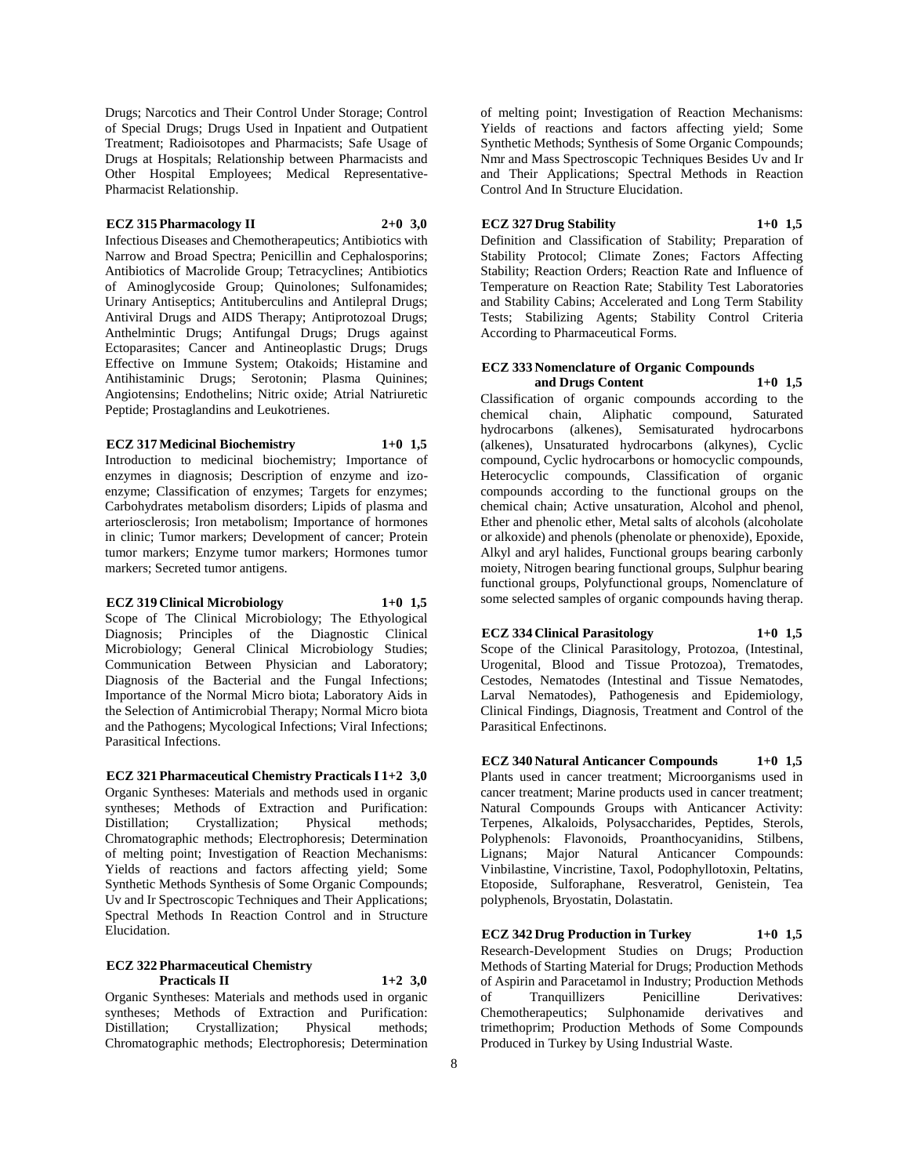Drugs; Narcotics and Their Control Under Storage; Control of Special Drugs; Drugs Used in Inpatient and Outpatient Treatment; Radioisotopes and Pharmacists; Safe Usage of Drugs at Hospitals; Relationship between Pharmacists and Other Hospital Employees; Medical Representative-Pharmacist Relationship.

### **ECZ 315 Pharmacology II 2+0 3,0**

Infectious Diseases and Chemotherapeutics; Antibiotics with Narrow and Broad Spectra; Penicillin and Cephalosporins; Antibiotics of Macrolide Group; Tetracyclines; Antibiotics of Aminoglycoside Group; Quinolones; Sulfonamides; Urinary Antiseptics; Antituberculins and Antilepral Drugs; Antiviral Drugs and AIDS Therapy; Antiprotozoal Drugs; Anthelmintic Drugs; Antifungal Drugs; Drugs against Ectoparasites; Cancer and Antineoplastic Drugs; Drugs Effective on Immune System; Otakoids; Histamine and Antihistaminic Drugs; Serotonin; Plasma Quinines; Angiotensins; Endothelins; Nitric oxide; Atrial Natriuretic Peptide; Prostaglandins and Leukotrienes.

#### **ECZ 317 Medicinal Biochemistry 1+0 1,5**

Introduction to medicinal biochemistry; Importance of enzymes in diagnosis; Description of enzyme and izoenzyme; Classification of enzymes; Targets for enzymes; Carbohydrates metabolism disorders; Lipids of plasma and arteriosclerosis; Iron metabolism; Importance of hormones in clinic; Tumor markers; Development of cancer; Protein tumor markers; Enzyme tumor markers; Hormones tumor markers; Secreted tumor antigens.

#### **ECZ 319 Clinical Microbiology 1+0 1,5**

Scope of The Clinical Microbiology; The Ethyological Diagnosis; Principles of the Diagnostic Clinical Microbiology; General Clinical Microbiology Studies; Communication Between Physician and Laboratory; Diagnosis of the Bacterial and the Fungal Infections; Importance of the Normal Micro biota; Laboratory Aids in the Selection of Antimicrobial Therapy; Normal Micro biota and the Pathogens; Mycological Infections; Viral Infections; Parasitical Infections.

#### **ECZ 321 Pharmaceutical Chemistry Practicals I 1+2 3,0**

Organic Syntheses: Materials and methods used in organic syntheses; Methods of Extraction and Purification: Distillation; Crystallization; Physical methods; Chromatographic methods; Electrophoresis; Determination of melting point; Investigation of Reaction Mechanisms: Yields of reactions and factors affecting yield; Some Synthetic Methods Synthesis of Some Organic Compounds; Uv and Ir Spectroscopic Techniques and Their Applications; Spectral Methods In Reaction Control and in Structure Elucidation.

# **ECZ 322 Pharmaceutical Chemistry**

**Practicals II 1+2 3,0**

Organic Syntheses: Materials and methods used in organic syntheses; Methods of Extraction and Purification: Distillation; Crystallization; Physical methods; Chromatographic methods; Electrophoresis; Determination

of melting point; Investigation of Reaction Mechanisms: Yields of reactions and factors affecting yield; Some Synthetic Methods; Synthesis of Some Organic Compounds; Nmr and Mass Spectroscopic Techniques Besides Uv and Ir and Their Applications; Spectral Methods in Reaction Control And In Structure Elucidation.

### **ECZ 327 Drug Stability 1+0 1,5**

Parasitical Enfectinons.

Definition and Classification of Stability; Preparation of Stability Protocol; Climate Zones; Factors Affecting Stability; Reaction Orders; Reaction Rate and Influence of Temperature on Reaction Rate; Stability Test Laboratories and Stability Cabins; Accelerated and Long Term Stability Tests; Stabilizing Agents; Stability Control Criteria According to Pharmaceutical Forms.

### **ECZ 333 Nomenclature of Organic Compounds and Drugs Content 1+0 1,5**

Classification of organic compounds according to the chemical chain, Aliphatic compound, Saturated hydrocarbons (alkenes), Semisaturated hydrocarbons (alkenes), Unsaturated hydrocarbons (alkynes), Cyclic compound, Cyclic hydrocarbons or homocyclic compounds, Heterocyclic compounds, Classification of organic compounds according to the functional groups on the chemical chain; Active unsaturation, Alcohol and phenol, Ether and phenolic ether, Metal salts of alcohols (alcoholate or alkoxide) and phenols (phenolate or phenoxide), Epoxide, Alkyl and aryl halides, Functional groups bearing carbonly moiety, Nitrogen bearing functional groups, Sulphur bearing functional groups, Polyfunctional groups, Nomenclature of some selected samples of organic compounds having therap.

**ECZ 334 Clinical Parasitology 1+0 1,5** Scope of the Clinical Parasitology, Protozoa, (Intestinal, Urogenital, Blood and Tissue Protozoa), Trematodes, Cestodes, Nematodes (Intestinal and Tissue Nematodes, Larval Nematodes), Pathogenesis and Epidemiology, Clinical Findings, Diagnosis, Treatment and Control of the

**ECZ 340 Natural Anticancer Compounds 1+0 1,5** Plants used in cancer treatment; Microorganisms used in cancer treatment; Marine products used in cancer treatment; Natural Compounds Groups with Anticancer Activity: Terpenes, Alkaloids, Polysaccharides, Peptides, Sterols, Polyphenols: Flavonoids, Proanthocyanidins, Stilbens, Lignans; Major Natural Anticancer Compounds: Vinbilastine, Vincristine, Taxol, Podophyllotoxin, Peltatins, Etoposide, Sulforaphane, Resveratrol, Genistein, Tea polyphenols, Bryostatin, Dolastatin.

**ECZ 342 Drug Production in Turkey 1+0 1,5** Research-Development Studies on Drugs; Production Methods of Starting Material for Drugs; Production Methods of Aspirin and Paracetamol in Industry; Production Methods of Tranquillizers Penicilline Derivatives: Chemotherapeutics; Sulphonamide derivatives and trimethoprim; Production Methods of Some Compounds Produced in Turkey by Using Industrial Waste.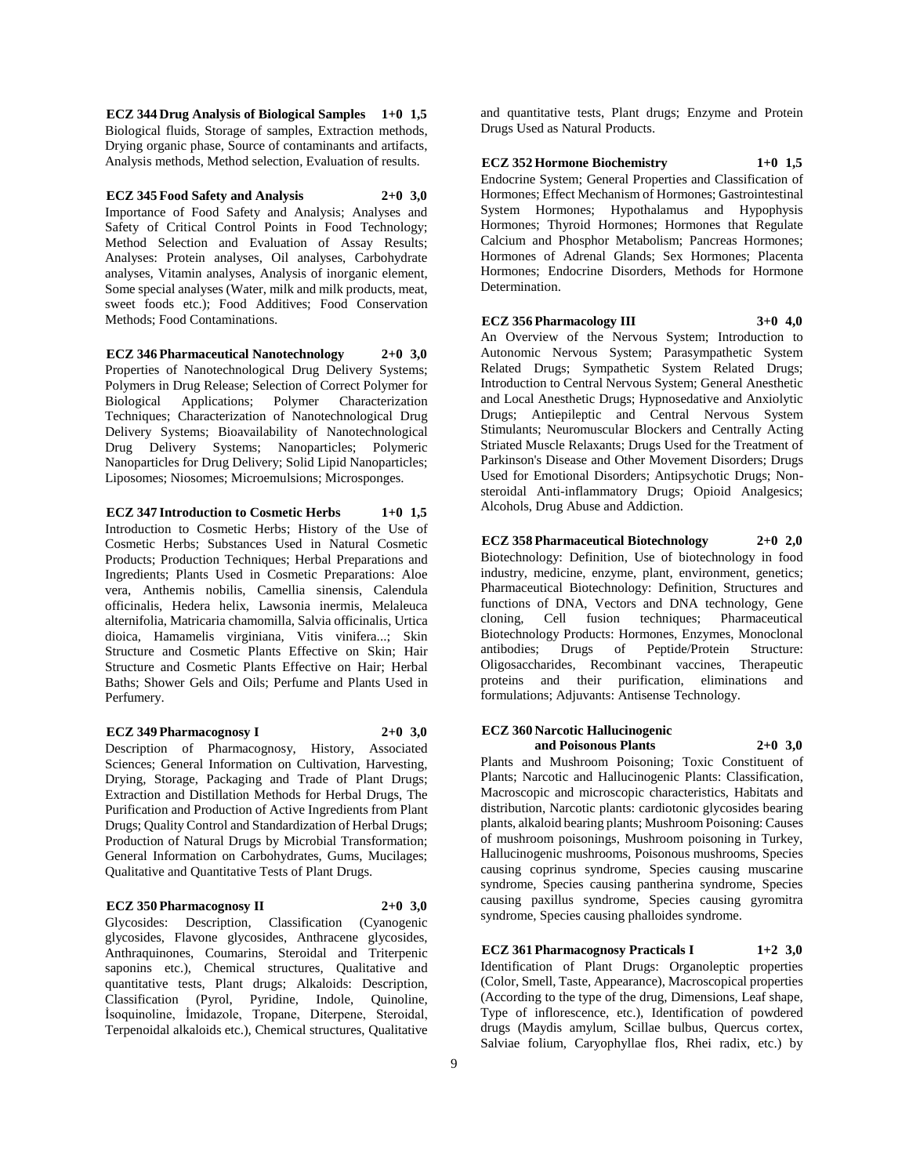**ECZ 344 Drug Analysis of Biological Samples 1+0 1,5** Biological fluids, Storage of samples, Extraction methods, Drying organic phase, Source of contaminants and artifacts, Analysis methods, Method selection, Evaluation of results.

**ECZ 345 Food Safety and Analysis 2+0 3,0** Importance of Food Safety and Analysis; Analyses and Safety of Critical Control Points in Food Technology; Method Selection and Evaluation of Assay Results; Analyses: Protein analyses, Oil analyses, Carbohydrate analyses, Vitamin analyses, Analysis of inorganic element, Some special analyses (Water, milk and milk products, meat, sweet foods etc.); Food Additives; Food Conservation Methods; Food Contaminations.

**ECZ 346 Pharmaceutical Nanotechnology 2+0 3,0** Properties of Nanotechnological Drug Delivery Systems; Polymers in Drug Release; Selection of Correct Polymer for Biological Applications; Polymer Characterization Techniques; Characterization of Nanotechnological Drug Delivery Systems; Bioavailability of Nanotechnological Drug Delivery Systems; Nanoparticles; Polymeric Nanoparticles for Drug Delivery; Solid Lipid Nanoparticles; Liposomes; Niosomes; Microemulsions; Microsponges.

**ECZ 347 Introduction to Cosmetic Herbs 1+0 1,5** Introduction to Cosmetic Herbs; History of the Use of Cosmetic Herbs; Substances Used in Natural Cosmetic Products; Production Techniques; Herbal Preparations and Ingredients; Plants Used in Cosmetic Preparations: Aloe vera, Anthemis nobilis, Camellia sinensis, Calendula officinalis, Hedera helix, Lawsonia inermis, Melaleuca alternifolia, Matricaria chamomilla, Salvia officinalis, Urtica dioica, Hamamelis virginiana, Vitis vinifera...; Skin Structure and Cosmetic Plants Effective on Skin; Hair Structure and Cosmetic Plants Effective on Hair; Herbal Baths; Shower Gels and Oils; Perfume and Plants Used in Perfumery.

**ECZ 349 Pharmacognosy I 2+0 3,0** Description of Pharmacognosy, History, Associated

Sciences; General Information on Cultivation, Harvesting, Drying, Storage, Packaging and Trade of Plant Drugs; Extraction and Distillation Methods for Herbal Drugs, The Purification and Production of Active Ingredients from Plant Drugs; Quality Control and Standardization of Herbal Drugs; Production of Natural Drugs by Microbial Transformation; General Information on Carbohydrates, Gums, Mucilages; Qualitative and Quantitative Tests of Plant Drugs.

**ECZ 350 Pharmacognosy II 2+0 3,0**

Glycosides: Description, Classification (Cyanogenic glycosides, Flavone glycosides, Anthracene glycosides, Anthraquinones, Coumarins, Steroidal and Triterpenic saponins etc.), Chemical structures, Qualitative and quantitative tests, Plant drugs; Alkaloids: Description, Classification (Pyrol, Pyridine, Indole, Quinoline, İsoquinoline, İmidazole, Tropane, Diterpene, Steroidal, Terpenoidal alkaloids etc.), Chemical structures, Qualitative

and quantitative tests, Plant drugs; Enzyme and Protein Drugs Used as Natural Products.

**ECZ 352 Hormone Biochemistry 1+0 1,5**

Endocrine System; General Properties and Classification of Hormones; Effect Mechanism of Hormones; Gastrointestinal System Hormones; Hypothalamus and Hypophysis Hormones; Thyroid Hormones; Hormones that Regulate Calcium and Phosphor Metabolism; Pancreas Hormones; Hormones of Adrenal Glands; Sex Hormones; Placenta Hormones; Endocrine Disorders, Methods for Hormone Determination.

### **ECZ 356 Pharmacology III 3+0 4,0**

An Overview of the Nervous System; Introduction to Autonomic Nervous System; Parasympathetic System Related Drugs; Sympathetic System Related Drugs; Introduction to Central Nervous System; General Anesthetic and Local Anesthetic Drugs; Hypnosedative and Anxiolytic Drugs; Antiepileptic and Central Nervous System Stimulants; Neuromuscular Blockers and Centrally Acting Striated Muscle Relaxants; Drugs Used for the Treatment of Parkinson's Disease and Other Movement Disorders; Drugs Used for Emotional Disorders; Antipsychotic Drugs; Nonsteroidal Anti-inflammatory Drugs; Opioid Analgesics; Alcohols, Drug Abuse and Addiction.

**ECZ 358 Pharmaceutical Biotechnology 2+0 2,0** Biotechnology: Definition, Use of biotechnology in food industry, medicine, enzyme, plant, environment, genetics; Pharmaceutical Biotechnology: Definition, Structures and functions of DNA, Vectors and DNA technology, Gene cloning, Cell fusion techniques; Pharmaceutical Biotechnology Products: Hormones, Enzymes, Monoclonal antibodies; Drugs of Peptide/Protein Structure: Oligosaccharides, Recombinant vaccines, Therapeutic proteins and their purification, eliminations and formulations; Adjuvants: Antisense Technology.

#### **ECZ 360 Narcotic Hallucinogenic and Poisonous Plants 2+0 3,0**

Plants and Mushroom Poisoning; Toxic Constituent of Plants; Narcotic and Hallucinogenic Plants: Classification, Macroscopic and microscopic characteristics, Habitats and distribution, Narcotic plants: cardiotonic glycosides bearing plants, alkaloid bearing plants; Mushroom Poisoning: Causes of mushroom poisonings, Mushroom poisoning in Turkey, Hallucinogenic mushrooms, Poisonous mushrooms, Species causing coprinus syndrome, Species causing muscarine syndrome, Species causing pantherina syndrome, Species causing paxillus syndrome, Species causing gyromitra syndrome, Species causing phalloides syndrome.

**ECZ 361 Pharmacognosy Practicals I 1+2 3,0** Identification of Plant Drugs: Organoleptic properties (Color, Smell, Taste, Appearance), Macroscopical properties (According to the type of the drug, Dimensions, Leaf shape, Type of inflorescence, etc.), Identification of powdered drugs (Maydis amylum, Scillae bulbus, Quercus cortex, Salviae folium, Caryophyllae flos, Rhei radix, etc.) by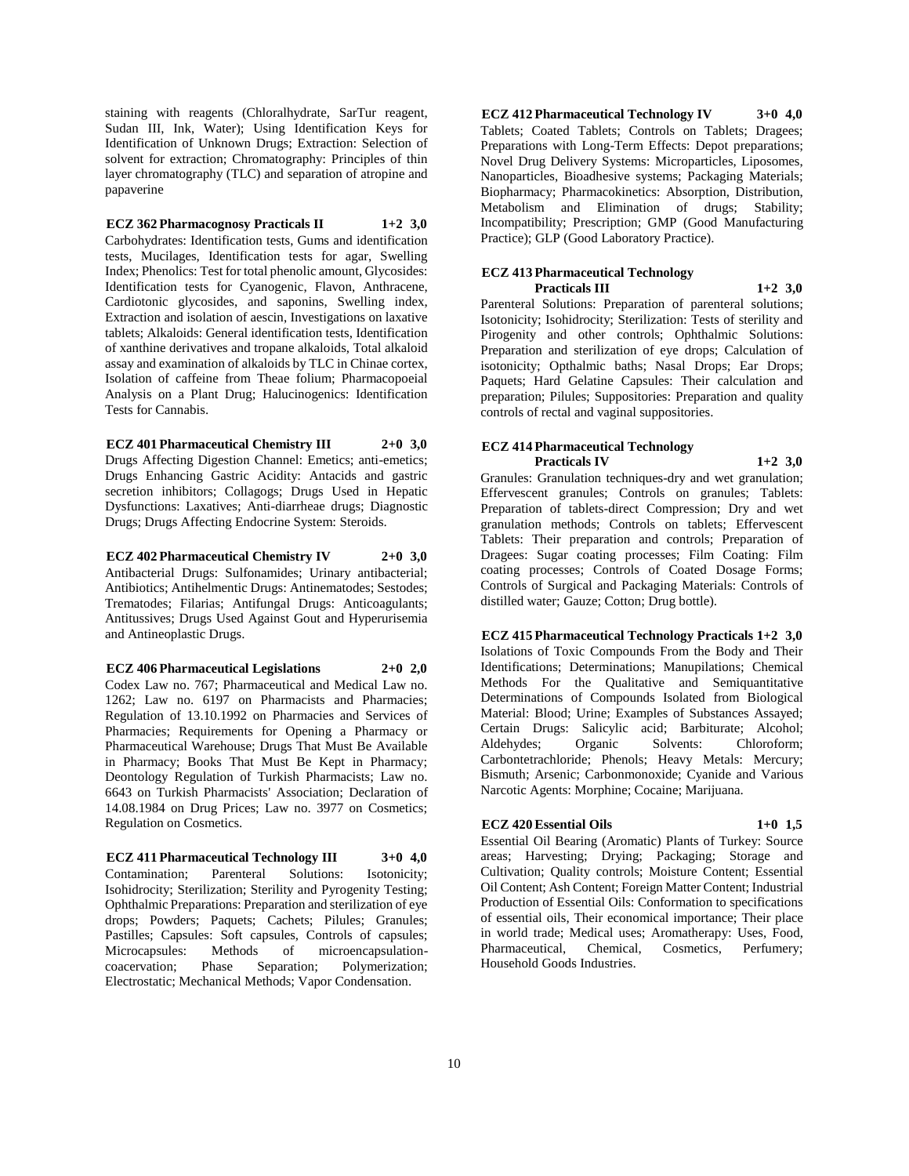staining with reagents (Chloralhydrate, SarTur reagent, Sudan III, Ink, Water); Using Identification Keys for Identification of Unknown Drugs; Extraction: Selection of solvent for extraction; Chromatography: Principles of thin layer chromatography (TLC) and separation of atropine and papaverine

**ECZ 362 Pharmacognosy Practicals II 1+2 3,0** Carbohydrates: Identification tests, Gums and identification tests, Mucilages, Identification tests for agar, Swelling Index; Phenolics: Test for total phenolic amount, Glycosides: Identification tests for Cyanogenic, Flavon, Anthracene, Cardiotonic glycosides, and saponins, Swelling index, Extraction and isolation of aescin, Investigations on laxative tablets; Alkaloids: General identification tests, Identification of xanthine derivatives and tropane alkaloids, Total alkaloid assay and examination of alkaloids by TLC in Chinae cortex, Isolation of caffeine from Theae folium; Pharmacopoeial Analysis on a Plant Drug; Halucinogenics: Identification Tests for Cannabis.

**ECZ 401 Pharmaceutical Chemistry III 2+0 3,0** Drugs Affecting Digestion Channel: Emetics; anti-emetics; Drugs Enhancing Gastric Acidity: Antacids and gastric secretion inhibitors; Collagogs; Drugs Used in Hepatic Dysfunctions: Laxatives; Anti-diarrheae drugs; Diagnostic Drugs; Drugs Affecting Endocrine System: Steroids.

**ECZ 402 Pharmaceutical Chemistry IV 2+0 3,0** Antibacterial Drugs: Sulfonamides; Urinary antibacterial; Antibiotics; Antihelmentic Drugs: Antinematodes; Sestodes; Trematodes; Filarias; Antifungal Drugs: Anticoagulants; Antitussives; Drugs Used Against Gout and Hyperurisemia and Antineoplastic Drugs.

**ECZ 406 Pharmaceutical Legislations 2+0 2,0**

Codex Law no. 767; Pharmaceutical and Medical Law no. 1262; Law no. 6197 on Pharmacists and Pharmacies; Regulation of 13.10.1992 on Pharmacies and Services of Pharmacies; Requirements for Opening a Pharmacy or Pharmaceutical Warehouse; Drugs That Must Be Available in Pharmacy; Books That Must Be Kept in Pharmacy; Deontology Regulation of Turkish Pharmacists; Law no. 6643 on Turkish Pharmacists' Association; Declaration of 14.08.1984 on Drug Prices; Law no. 3977 on Cosmetics; Regulation on Cosmetics.

**ECZ 411 Pharmaceutical Technology III 3+0 4,0**

Contamination; Parenteral Solutions: Isotonicity; Isohidrocity; Sterilization; Sterility and Pyrogenity Testing; Ophthalmic Preparations: Preparation and sterilization of eye drops; Powders; Paquets; Cachets; Pilules; Granules; Pastilles; Capsules: Soft capsules, Controls of capsules; Microcapsules: Methods of microencapsulation-<br>coacervation; Phase Separation; Polymerization; Phase Separation; Polymerization; Electrostatic; Mechanical Methods; Vapor Condensation.

**ECZ 412 Pharmaceutical Technology IV 3+0 4,0** Tablets; Coated Tablets; Controls on Tablets; Dragees; Preparations with Long-Term Effects: Depot preparations; Novel Drug Delivery Systems: Microparticles, Liposomes, Nanoparticles, Bioadhesive systems; Packaging Materials; Biopharmacy; Pharmacokinetics: Absorption, Distribution, Metabolism and Elimination of drugs; Stability; Incompatibility; Prescription; GMP (Good Manufacturing Practice); GLP (Good Laboratory Practice).

# **ECZ 413 Pharmaceutical Technology**

**Practicals III 1+2 3,0** Parenteral Solutions: Preparation of parenteral solutions; Isotonicity; Isohidrocity; Sterilization: Tests of sterility and Pirogenity and other controls; Ophthalmic Solutions: Preparation and sterilization of eye drops; Calculation of isotonicity; Opthalmic baths; Nasal Drops; Ear Drops; Paquets; Hard Gelatine Capsules: Their calculation and preparation; Pilules; Suppositories: Preparation and quality controls of rectal and vaginal suppositories.

#### **ECZ 414 Pharmaceutical Technology Practicals IV 1+2 3,0**

Granules: Granulation techniques-dry and wet granulation; Effervescent granules; Controls on granules; Tablets: Preparation of tablets-direct Compression; Dry and wet granulation methods; Controls on tablets; Effervescent Tablets: Their preparation and controls; Preparation of Dragees: Sugar coating processes; Film Coating: Film coating processes; Controls of Coated Dosage Forms; Controls of Surgical and Packaging Materials: Controls of distilled water; Gauze; Cotton; Drug bottle).

**ECZ 415 Pharmaceutical Technology Practicals 1+2 3,0** Isolations of Toxic Compounds From the Body and Their Identifications; Determinations; Manupilations; Chemical Methods For the Qualitative and Semiquantitative Determinations of Compounds Isolated from Biological Material: Blood; Urine; Examples of Substances Assayed; Certain Drugs: Salicylic acid; Barbiturate; Alcohol; Aldehydes; Organic Solvents: Chloroform; Carbontetrachloride; Phenols; Heavy Metals: Mercury; Bismuth; Arsenic; Carbonmonoxide; Cyanide and Various Narcotic Agents: Morphine; Cocaine; Marijuana.

# **ECZ 420 Essential Oils 1+0 1,5**

Essential Oil Bearing (Aromatic) Plants of Turkey: Source areas; Harvesting; Drying; Packaging; Storage and Cultivation; Quality controls; Moisture Content; Essential Oil Content; Ash Content; Foreign Matter Content; Industrial Production of Essential Oils: Conformation to specifications of essential oils, Their economical importance; Their place in world trade; Medical uses; Aromatherapy: Uses, Food, Pharmaceutical, Chemical, Cosmetics, Perfumery; Household Goods Industries.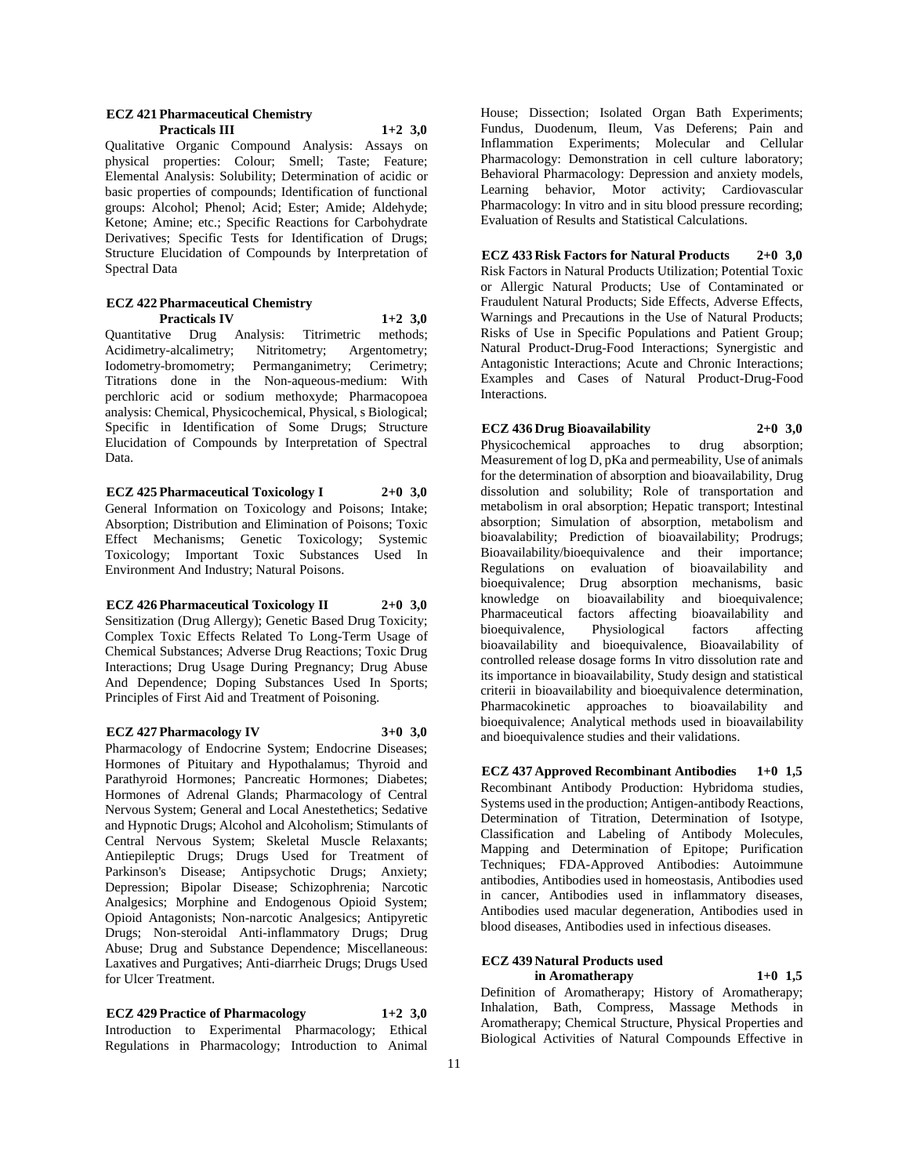#### **ECZ 421 Pharmaceutical Chemistry Practicals III 1+2 3,0**

Qualitative Organic Compound Analysis: Assays on physical properties: Colour; Smell; Taste; Feature; Elemental Analysis: Solubility; Determination of acidic or basic properties of compounds; Identification of functional groups: Alcohol; Phenol; Acid; Ester; Amide; Aldehyde; Ketone; Amine; etc.; Specific Reactions for Carbohydrate Derivatives; Specific Tests for Identification of Drugs; Structure Elucidation of Compounds by Interpretation of Spectral Data

#### **ECZ 422 Pharmaceutical Chemistry Practicals IV 1+2 3,0**

Quantitative Drug Analysis: Titrimetric methods; Acidimetry-alcalimetry; Nitritometry; Argentometry; Iodometry-bromometry; Permanganimetry; Cerimetry; Titrations done in the Non-aqueous-medium: With perchloric acid or sodium methoxyde; Pharmacopoea analysis: Chemical, Physicochemical, Physical, s Biological; Specific in Identification of Some Drugs; Structure Elucidation of Compounds by Interpretation of Spectral Data.

**ECZ 425 Pharmaceutical Toxicology I 2+0 3,0** General Information on Toxicology and Poisons; Intake; Absorption; Distribution and Elimination of Poisons; Toxic Effect Mechanisms; Genetic Toxicology; Systemic Toxicology; Important Toxic Substances Used In Environment And Industry; Natural Poisons.

**ECZ 426 Pharmaceutical Toxicology II 2+0 3,0** Sensitization (Drug Allergy); Genetic Based Drug Toxicity; Complex Toxic Effects Related To Long-Term Usage of Chemical Substances; Adverse Drug Reactions; Toxic Drug Interactions; Drug Usage During Pregnancy; Drug Abuse And Dependence; Doping Substances Used In Sports; Principles of First Aid and Treatment of Poisoning.

**ECZ 427 Pharmacology IV 3+0 3,0**

Pharmacology of Endocrine System; Endocrine Diseases; Hormones of Pituitary and Hypothalamus; Thyroid and Parathyroid Hormones; Pancreatic Hormones; Diabetes; Hormones of Adrenal Glands; Pharmacology of Central Nervous System; General and Local Anestethetics; Sedative and Hypnotic Drugs; Alcohol and Alcoholism; Stimulants of Central Nervous System; Skeletal Muscle Relaxants; Antiepileptic Drugs; Drugs Used for Treatment of Parkinson's Disease; Antipsychotic Drugs; Anxiety; Depression; Bipolar Disease; Schizophrenia; Narcotic Analgesics; Morphine and Endogenous Opioid System; Opioid Antagonists; Non-narcotic Analgesics; Antipyretic Drugs; Non-steroidal Anti-inflammatory Drugs; Drug Abuse; Drug and Substance Dependence; Miscellaneous: Laxatives and Purgatives; Anti-diarrheic Drugs; Drugs Used for Ulcer Treatment.

**ECZ 429 Practice of Pharmacology 1+2 3,0** Introduction to Experimental Pharmacology; Ethical Regulations in Pharmacology; Introduction to Animal House; Dissection; Isolated Organ Bath Experiments; Fundus, Duodenum, Ileum, Vas Deferens; Pain and Inflammation Experiments; Molecular and Cellular Pharmacology: Demonstration in cell culture laboratory; Behavioral Pharmacology: Depression and anxiety models, Learning behavior, Motor activity; Cardiovascular Pharmacology: In vitro and in situ blood pressure recording; Evaluation of Results and Statistical Calculations.

**ECZ 433 Risk Factors for Natural Products 2+0 3,0** Risk Factors in Natural Products Utilization; Potential Toxic or Allergic Natural Products; Use of Contaminated or Fraudulent Natural Products; Side Effects, Adverse Effects, Warnings and Precautions in the Use of Natural Products; Risks of Use in Specific Populations and Patient Group; Natural Product-Drug-Food Interactions; Synergistic and Antagonistic Interactions; Acute and Chronic Interactions; Examples and Cases of Natural Product-Drug-Food Interactions.

### **ECZ 436 Drug Bioavailability 2+0 3,0**

Physicochemical approaches to drug absorption; Measurement of log D, pKa and permeability, Use of animals for the determination of absorption and bioavailability, Drug dissolution and solubility; Role of transportation and metabolism in oral absorption; Hepatic transport; Intestinal absorption; Simulation of absorption, metabolism and bioavalability; Prediction of bioavailability; Prodrugs; Bioavailability/bioequivalence and their importance; Regulations on evaluation of bioavailability and bioequivalence; Drug absorption mechanisms, basic knowledge on bioavailability and bioequivalence; Pharmaceutical factors affecting bioavailability and bioequivalence, Physiological factors affecting bioequivalence, Physiological factors affecting bioavailability and bioequivalence, Bioavailability of controlled release dosage forms In vitro dissolution rate and its importance in bioavailability, Study design and statistical criterii in bioavailability and bioequivalence determination, Pharmacokinetic approaches to bioavailability and bioequivalence; Analytical methods used in bioavailability and bioequivalence studies and their validations.

**ECZ 437 Approved Recombinant Antibodies 1+0 1,5** Recombinant Antibody Production: Hybridoma studies, Systems used in the production; Antigen-antibody Reactions, Determination of Titration, Determination of Isotype, Classification and Labeling of Antibody Molecules, Mapping and Determination of Epitope; Purification Techniques; FDA-Approved Antibodies: Autoimmune antibodies, Antibodies used in homeostasis, Antibodies used in cancer, Antibodies used in inflammatory diseases, Antibodies used macular degeneration, Antibodies used in blood diseases, Antibodies used in infectious diseases.

### **ECZ 439 Natural Products used**

**in Aromatherapy 1+0 1,5** Definition of Aromatherapy; History of Aromatherapy; Inhalation, Bath, Compress, Massage Methods in Aromatherapy; Chemical Structure, Physical Properties and Biological Activities of Natural Compounds Effective in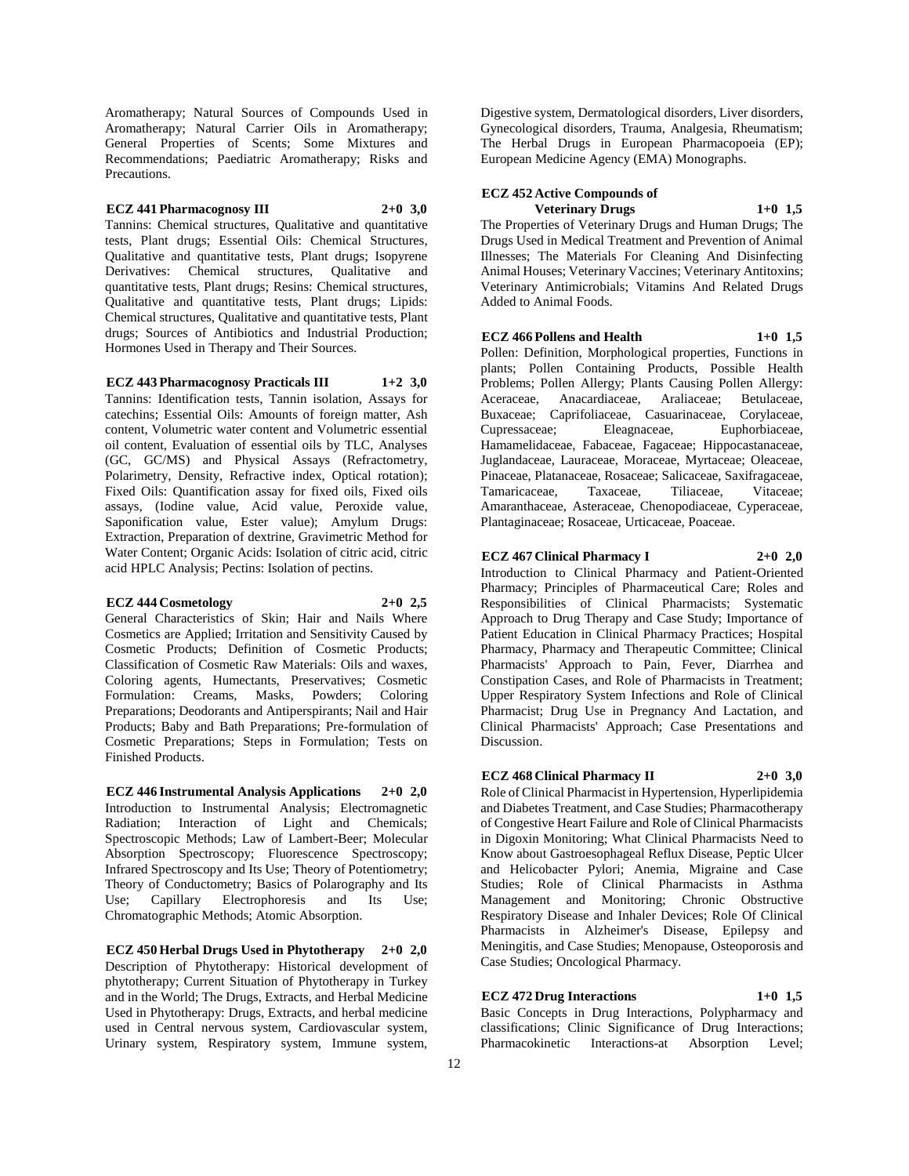Aromatherapy; Natural Sources of Compounds Used in Aromatherapy; Natural Carrier Oils in Aromatherapy; General Properties of Scents; Some Mixtures and Recommendations; Paediatric Aromatherapy; Risks and Precautions.

**ECZ 441 Pharmacognosy III 2+0 3,0**

Tannins: Chemical structures, Qualitative and quantitative tests, Plant drugs; Essential Oils: Chemical Structures, Qualitative and quantitative tests, Plant drugs; Isopyrene Derivatives: Chemical structures, Qualitative and quantitative tests, Plant drugs; Resins: Chemical structures, Qualitative and quantitative tests, Plant drugs; Lipids: Chemical structures, Qualitative and quantitative tests, Plant drugs; Sources of Antibiotics and Industrial Production; Hormones Used in Therapy and Their Sources.

**ECZ 443 Pharmacognosy Practicals III 1+2 3,0**

Tannins: Identification tests, Tannin isolation, Assays for catechins; Essential Oils: Amounts of foreign matter, Ash content, Volumetric water content and Volumetric essential oil content, Evaluation of essential oils by TLC, Analyses (GC, GC/MS) and Physical Assays (Refractometry, Polarimetry, Density, Refractive index, Optical rotation); Fixed Oils: Quantification assay for fixed oils, Fixed oils assays, (Iodine value, Acid value, Peroxide value, Saponification value, Ester value); Amylum Drugs: Extraction, Preparation of dextrine, Gravimetric Method for Water Content; Organic Acids: Isolation of citric acid, citric acid HPLC Analysis; Pectins: Isolation of pectins.

### **ECZ 444 Cosmetology 2+0 2,5**

General Characteristics of Skin; Hair and Nails Where Cosmetics are Applied; Irritation and Sensitivity Caused by Cosmetic Products; Definition of Cosmetic Products; Classification of Cosmetic Raw Materials: Oils and waxes, Coloring agents, Humectants, Preservatives; Cosmetic Formulation: Creams, Masks, Powders; Coloring Preparations; Deodorants and Antiperspirants; Nail and Hair Products; Baby and Bath Preparations; Pre-formulation of Cosmetic Preparations; Steps in Formulation; Tests on Finished Products.

**ECZ 446 Instrumental Analysis Applications 2+0 2,0** Introduction to Instrumental Analysis; Electromagnetic Radiation; Interaction of Light and Chemicals; Spectroscopic Methods; Law of Lambert-Beer; Molecular Absorption Spectroscopy; Fluorescence Spectroscopy; Infrared Spectroscopy and Its Use; Theory of Potentiometry; Theory of Conductometry; Basics of Polarography and Its Use; Capillary Electrophoresis and Its Use; Chromatographic Methods; Atomic Absorption.

**ECZ 450 Herbal Drugs Used in Phytotherapy 2+0 2,0** Description of Phytotherapy: Historical development of phytotherapy; Current Situation of Phytotherapy in Turkey and in the World; The Drugs, Extracts, and Herbal Medicine Used in Phytotherapy: Drugs, Extracts, and herbal medicine used in Central nervous system, Cardiovascular system, Urinary system, Respiratory system, Immune system,

Digestive system, Dermatological disorders, Liver disorders, Gynecological disorders, Trauma, Analgesia, Rheumatism; The Herbal Drugs in European Pharmacopoeia (EP); European Medicine Agency (EMA) Monographs.

# **ECZ 452 Active Compounds of**

**Veterinary Drugs 1+0 1,5** The Properties of Veterinary Drugs and Human Drugs; The Drugs Used in Medical Treatment and Prevention of Animal Illnesses; The Materials For Cleaning And Disinfecting Animal Houses; Veterinary Vaccines; Veterinary Antitoxins; Veterinary Antimicrobials; Vitamins And Related Drugs Added to Animal Foods.

**ECZ 466 Pollens and Health 1+0 1,5**

Pollen: Definition, Morphological properties, Functions in plants; Pollen Containing Products, Possible Health Problems; Pollen Allergy; Plants Causing Pollen Allergy: Aceraceae, Anacardiaceae, Araliaceae; Betulaceae, Buxaceae; Caprifoliaceae, Casuarinaceae, Corylaceae, Cupressaceae; Eleagnaceae, Euphorbiaceae, Hamamelidaceae, Fabaceae, Fagaceae; Hippocastanaceae, Juglandaceae, Lauraceae, Moraceae, Myrtaceae; Oleaceae, Pinaceae, Platanaceae, Rosaceae; Salicaceae, Saxifragaceae, Tamaricaceae, Taxaceae, Tiliaceae, Vitaceae; Amaranthaceae, Asteraceae, Chenopodiaceae, Cyperaceae, Plantaginaceae; Rosaceae, Urticaceae, Poaceae.

**ECZ 467 Clinical Pharmacy I 2+0 2,0**

Introduction to Clinical Pharmacy and Patient-Oriented Pharmacy; Principles of Pharmaceutical Care; Roles and Responsibilities of Clinical Pharmacists; Systematic Approach to Drug Therapy and Case Study; Importance of Patient Education in Clinical Pharmacy Practices; Hospital Pharmacy, Pharmacy and Therapeutic Committee; Clinical Pharmacists' Approach to Pain, Fever, Diarrhea and Constipation Cases, and Role of Pharmacists in Treatment; Upper Respiratory System Infections and Role of Clinical Pharmacist; Drug Use in Pregnancy And Lactation, and Clinical Pharmacists' Approach; Case Presentations and Discussion.

### **ECZ 468 Clinical Pharmacy II 2+0 3,0**

Role of Clinical Pharmacist in Hypertension, Hyperlipidemia and Diabetes Treatment, and Case Studies; Pharmacotherapy of Congestive Heart Failure and Role of Clinical Pharmacists in Digoxin Monitoring; What Clinical Pharmacists Need to Know about Gastroesophageal Reflux Disease, Peptic Ulcer and Helicobacter Pylori; Anemia, Migraine and Case Studies; Role of Clinical Pharmacists in Asthma Management and Monitoring; Chronic Obstructive Respiratory Disease and Inhaler Devices; Role Of Clinical Pharmacists in Alzheimer's Disease, Epilepsy and Meningitis, and Case Studies; Menopause, Osteoporosis and Case Studies; Oncological Pharmacy.

### **ECZ 472 Drug Interactions 1+0 1,5**

Basic Concepts in Drug Interactions, Polypharmacy and classifications; Clinic Significance of Drug Interactions; Pharmacokinetic Interactions-at Absorption Level;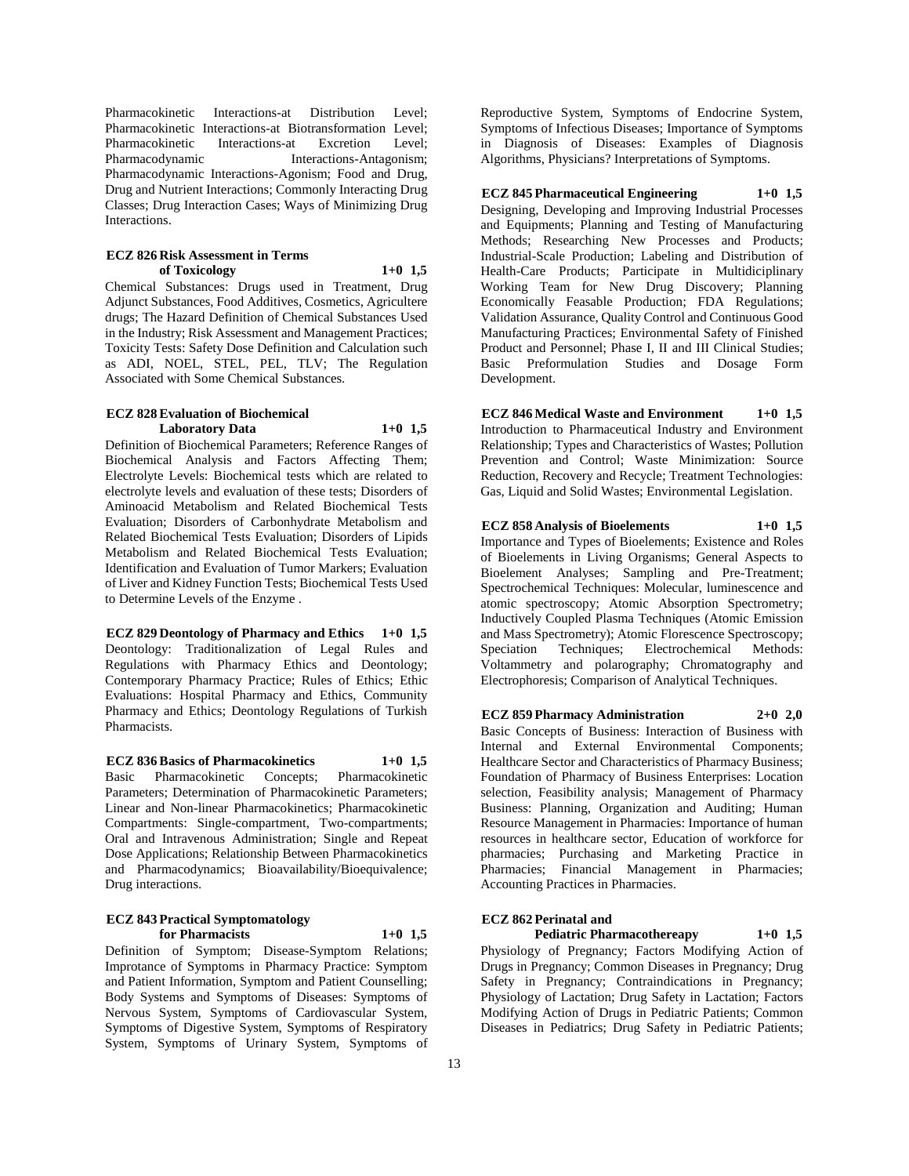Pharmacokinetic Interactions-at Distribution Level; Pharmacokinetic Interactions-at Biotransformation Level; Pharmacokinetic Interactions-at Excretion Level; Pharmacodynamic Interactions-Antagonism; Pharmacodynamic Interactions-Agonism; Food and Drug, Drug and Nutrient Interactions; Commonly Interacting Drug Classes; Drug Interaction Cases; Ways of Minimizing Drug Interactions.

### **ECZ 826 Risk Assessment in Terms of Toxicology 1+0 1,5**

Chemical Substances: Drugs used in Treatment, Drug Adjunct Substances, Food Additives, Cosmetics, Agricultere drugs; The Hazard Definition of Chemical Substances Used in the Industry; Risk Assessment and Management Practices; Toxicity Tests: Safety Dose Definition and Calculation such as ADI, NOEL, STEL, PEL, TLV; The Regulation Associated with Some Chemical Substances.

### **ECZ 828 Evaluation of Biochemical Laboratory Data 1+0 1,5**

Definition of Biochemical Parameters; Reference Ranges of Biochemical Analysis and Factors Affecting Them; Electrolyte Levels: Biochemical tests which are related to electrolyte levels and evaluation of these tests; Disorders of Aminoacid Metabolism and Related Biochemical Tests Evaluation; Disorders of Carbonhydrate Metabolism and Related Biochemical Tests Evaluation; Disorders of Lipids Metabolism and Related Biochemical Tests Evaluation; Identification and Evaluation of Tumor Markers; Evaluation of Liver and Kidney Function Tests; Biochemical Tests Used to Determine Levels of the Enzyme .

**ECZ 829 Deontology of Pharmacy and Ethics 1+0 1,5** Deontology: Traditionalization of Legal Rules and Regulations with Pharmacy Ethics and Deontology; Contemporary Pharmacy Practice; Rules of Ethics; Ethic Evaluations: Hospital Pharmacy and Ethics, Community Pharmacy and Ethics; Deontology Regulations of Turkish Pharmacists.

**ECZ 836 Basics of Pharmacokinetics 1+0 1,5** Basic Pharmacokinetic Concepts; Pharmacokinetic Parameters; Determination of Pharmacokinetic Parameters; Linear and Non-linear Pharmacokinetics; Pharmacokinetic Compartments: Single-compartment, Two-compartments; Oral and Intravenous Administration; Single and Repeat Dose Applications; Relationship Between Pharmacokinetics and Pharmacodynamics; Bioavailability/Bioequivalence; Drug interactions.

#### **ECZ 843 Practical Symptomatology for Pharmacists 1+0 1,5**

Definition of Symptom; Disease-Symptom Relations; Improtance of Symptoms in Pharmacy Practice: Symptom and Patient Information, Symptom and Patient Counselling; Body Systems and Symptoms of Diseases: Symptoms of Nervous System, Symptoms of Cardiovascular System, Symptoms of Digestive System, Symptoms of Respiratory System, Symptoms of Urinary System, Symptoms of

Reproductive System, Symptoms of Endocrine System, Symptoms of Infectious Diseases; Importance of Symptoms in Diagnosis of Diseases: Examples of Diagnosis Algorithms, Physicians? Interpretations of Symptoms.

**ECZ 845 Pharmaceutical Engineering 1+0 1,5** Designing, Developing and Improving Industrial Processes and Equipments; Planning and Testing of Manufacturing Methods: Researching New Processes and Products: Industrial-Scale Production; Labeling and Distribution of Health-Care Products; Participate in Multidiciplinary Working Team for New Drug Discovery; Planning Economically Feasable Production; FDA Regulations; Validation Assurance, Quality Control and Continuous Good Manufacturing Practices; Environmental Safety of Finished Product and Personnel; Phase I, II and III Clinical Studies; Basic Preformulation Studies and Dosage Form Development.

**ECZ 846 Medical Waste and Environment 1+0 1,5** Introduction to Pharmaceutical Industry and Environment Relationship; Types and Characteristics of Wastes; Pollution Prevention and Control; Waste Minimization: Source Reduction, Recovery and Recycle; Treatment Technologies: Gas, Liquid and Solid Wastes; Environmental Legislation.

### **ECZ 858 Analysis of Bioelements 1+0 1,5**

Importance and Types of Bioelements; Existence and Roles of Bioelements in Living Organisms; General Aspects to Bioelement Analyses; Sampling and Pre-Treatment; Spectrochemical Techniques: Molecular, luminescence and atomic spectroscopy; Atomic Absorption Spectrometry; Inductively Coupled Plasma Techniques (Atomic Emission and Mass Spectrometry); Atomic Florescence Spectroscopy; Speciation Techniques; Electrochemical Methods: Voltammetry and polarography; Chromatography and Electrophoresis; Comparison of Analytical Techniques.

**ECZ 859 Pharmacy Administration 2+0 2,0** Basic Concepts of Business: Interaction of Business with Internal and External Environmental Components; Healthcare Sector and Characteristics of Pharmacy Business; Foundation of Pharmacy of Business Enterprises: Location selection, Feasibility analysis; Management of Pharmacy Business: Planning, Organization and Auditing; Human Resource Management in Pharmacies: Importance of human resources in healthcare sector, Education of workforce for pharmacies; Purchasing and Marketing Practice in Pharmacies; Financial Management in Pharmacies; Accounting Practices in Pharmacies.

#### **ECZ 862 Perinatal and**

**Pediatric Pharmacothereapy 1+0 1,5**

Physiology of Pregnancy; Factors Modifying Action of Drugs in Pregnancy; Common Diseases in Pregnancy; Drug Safety in Pregnancy; Contraindications in Pregnancy; Physiology of Lactation; Drug Safety in Lactation; Factors Modifying Action of Drugs in Pediatric Patients; Common Diseases in Pediatrics; Drug Safety in Pediatric Patients;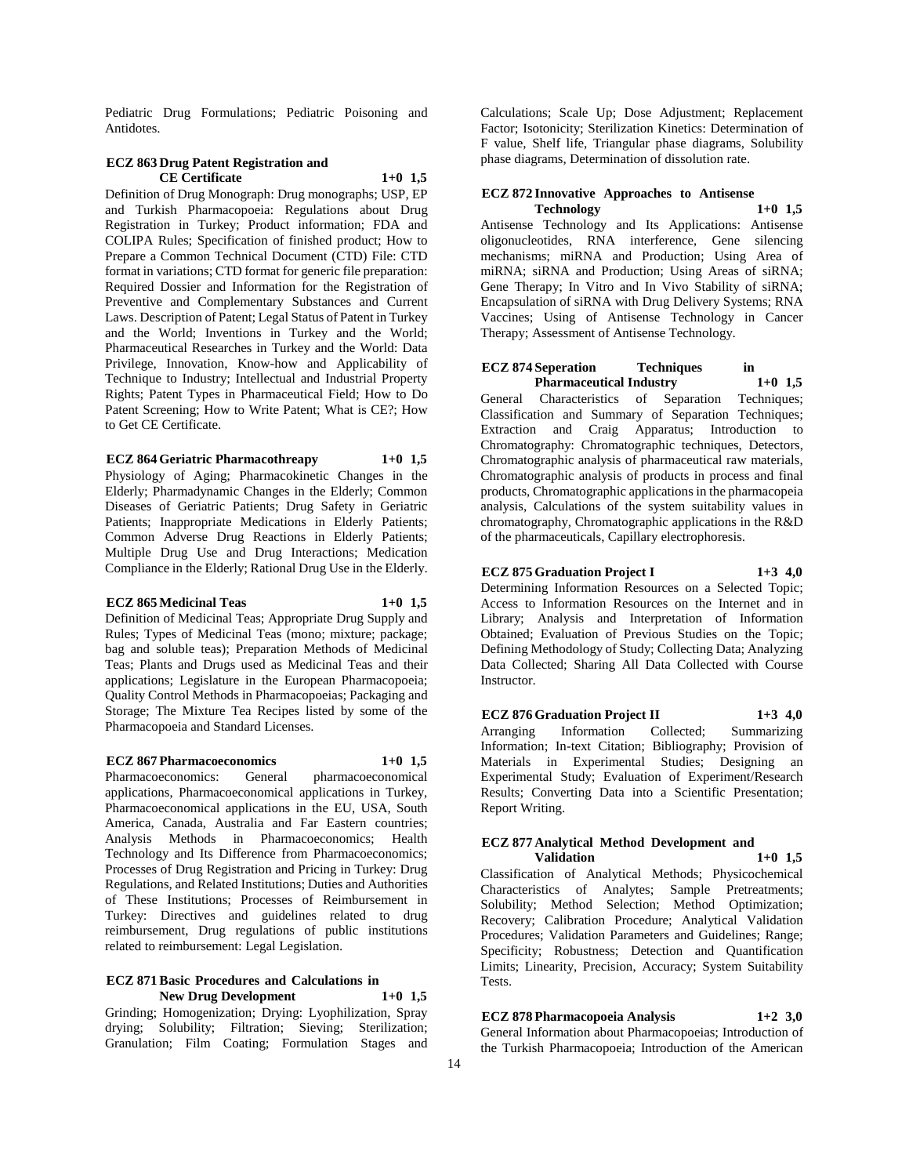Pediatric Drug Formulations; Pediatric Poisoning and Antidotes.

### **ECZ 863 Drug Patent Registration and CE Certificate 1+0 1,5**

Definition of Drug Monograph: Drug monographs; USP, EP and Turkish Pharmacopoeia: Regulations about Drug Registration in Turkey; Product information; FDA and COLIPA Rules; Specification of finished product; How to Prepare a Common Technical Document (CTD) File: CTD format in variations; CTD format for generic file preparation: Required Dossier and Information for the Registration of Preventive and Complementary Substances and Current Laws. Description of Patent; Legal Status of Patent in Turkey and the World; Inventions in Turkey and the World; Pharmaceutical Researches in Turkey and the World: Data Privilege, Innovation, Know-how and Applicability of Technique to Industry; Intellectual and Industrial Property Rights; Patent Types in Pharmaceutical Field; How to Do Patent Screening; How to Write Patent; What is CE?; How to Get CE Certificate.

### **ECZ 864 Geriatric Pharmacothreapy 1+0 1,5**

Physiology of Aging; Pharmacokinetic Changes in the Elderly; Pharmadynamic Changes in the Elderly; Common Diseases of Geriatric Patients; Drug Safety in Geriatric Patients; Inappropriate Medications in Elderly Patients; Common Adverse Drug Reactions in Elderly Patients; Multiple Drug Use and Drug Interactions; Medication Compliance in the Elderly; Rational Drug Use in the Elderly.

### **ECZ 865 Medicinal Teas 1+0 1,5**

Definition of Medicinal Teas; Appropriate Drug Supply and Rules; Types of Medicinal Teas (mono; mixture; package; bag and soluble teas); Preparation Methods of Medicinal Teas; Plants and Drugs used as Medicinal Teas and their applications; Legislature in the European Pharmacopoeia; Quality Control Methods in Pharmacopoeias; Packaging and Storage; The Mixture Tea Recipes listed by some of the Pharmacopoeia and Standard Licenses.

#### **ECZ 867 Pharmacoeconomics 1+0 1,5**

Pharmacoeconomics: General pharmacoeconomical applications, Pharmacoeconomical applications in Turkey, Pharmacoeconomical applications in the EU, USA, South America, Canada, Australia and Far Eastern countries; Analysis Methods in Pharmacoeconomics; Health Technology and Its Difference from Pharmacoeconomics; Processes of Drug Registration and Pricing in Turkey: Drug Regulations, and Related Institutions; Duties and Authorities of These Institutions; Processes of Reimbursement in Turkey: Directives and guidelines related to drug reimbursement, Drug regulations of public institutions related to reimbursement: Legal Legislation.

#### **ECZ 871 Basic Procedures and Calculations in New Drug Development 1+0 1,5**

Grinding; Homogenization; Drying: Lyophilization, Spray drying; Solubility; Filtration; Sieving; Sterilization; Granulation; Film Coating; Formulation Stages and

Calculations; Scale Up; Dose Adjustment; Replacement Factor; Isotonicity; Sterilization Kinetics: Determination of F value, Shelf life, Triangular phase diagrams, Solubility phase diagrams, Determination of dissolution rate.

#### **ECZ 872 Innovative Approaches to Antisense Technology 1+0 1,5**

Antisense Technology and Its Applications: Antisense oligonucleotides, RNA interference, Gene silencing mechanisms; miRNA and Production; Using Area of miRNA; siRNA and Production; Using Areas of siRNA; Gene Therapy; In Vitro and In Vivo Stability of siRNA; Encapsulation of siRNA with Drug Delivery Systems; RNA Vaccines; Using of Antisense Technology in Cancer Therapy; Assessment of Antisense Technology.

#### **ECZ 874 Seperation Techniques in Pharmaceutical Industry 1+0 1,5**

General Characteristics of Separation Techniques; Classification and Summary of Separation Techniques; Extraction and Craig Apparatus; Introduction to Chromatography: Chromatographic techniques, Detectors, Chromatographic analysis of pharmaceutical raw materials, Chromatographic analysis of products in process and final products, Chromatographic applications in the pharmacopeia analysis, Calculations of the system suitability values in chromatography, Chromatographic applications in the R&D of the pharmaceuticals, Capillary electrophoresis.

### **ECZ 875 Graduation Project I 1+3 4,0**

Determining Information Resources on a Selected Topic; Access to Information Resources on the Internet and in Library; Analysis and Interpretation of Information Obtained; Evaluation of Previous Studies on the Topic; Defining Methodology of Study; Collecting Data; Analyzing Data Collected; Sharing All Data Collected with Course Instructor.

**ECZ 876 Graduation Project II 1+3 4,0** Arranging Information Collected; Summarizing Information; In-text Citation; Bibliography; Provision of Materials in Experimental Studies; Designing an Experimental Study; Evaluation of Experiment/Research Results; Converting Data into a Scientific Presentation; Report Writing.

#### **ECZ 877 Analytical Method Development and Validation 1+0 1,5**

Classification of Analytical Methods; Physicochemical Characteristics of Analytes; Sample Pretreatments; Solubility; Method Selection; Method Optimization; Recovery; Calibration Procedure; Analytical Validation Procedures; Validation Parameters and Guidelines; Range; Specificity; Robustness; Detection and Quantification Limits; Linearity, Precision, Accuracy; System Suitability Tests.

## **ECZ 878 Pharmacopoeia Analysis 1+2 3,0**

General Information about Pharmacopoeias; Introduction of the Turkish Pharmacopoeia; Introduction of the American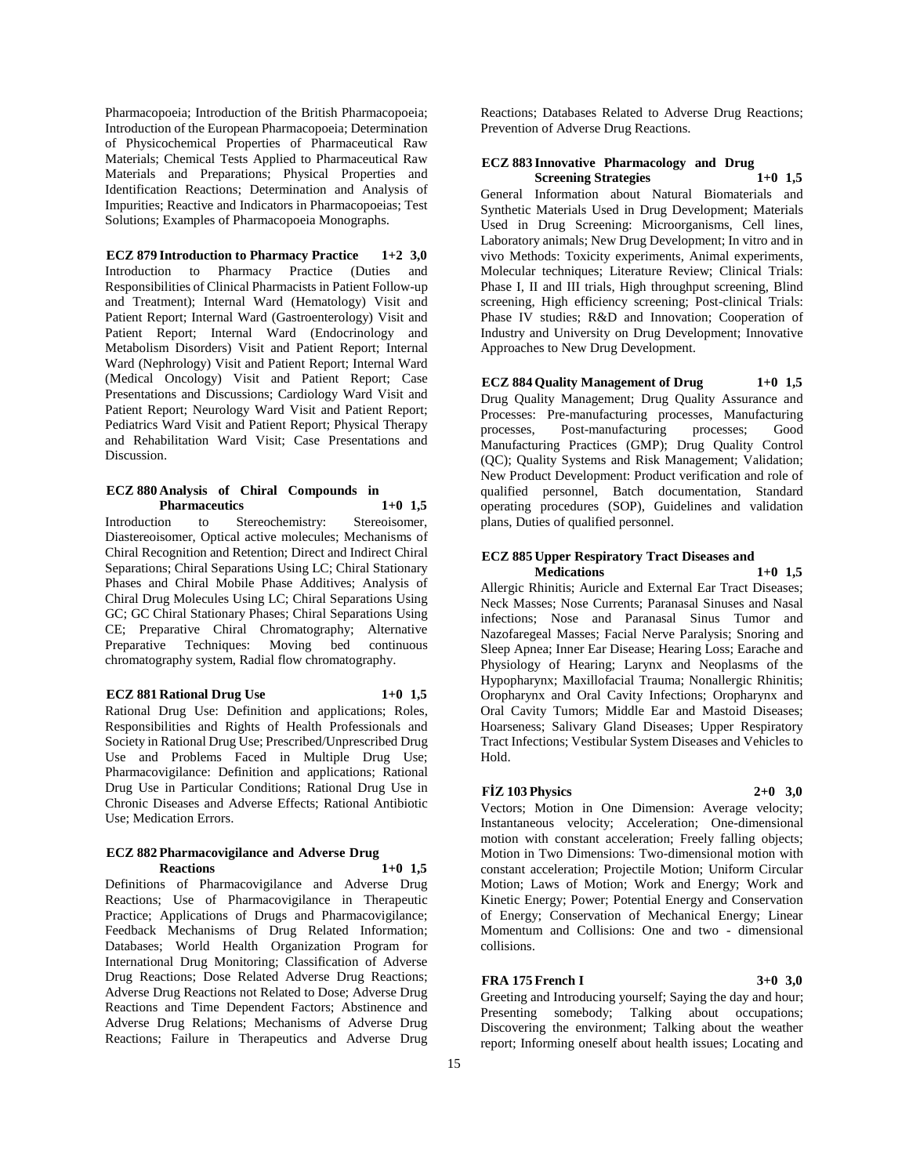Pharmacopoeia; Introduction of the British Pharmacopoeia; Introduction of the European Pharmacopoeia; Determination of Physicochemical Properties of Pharmaceutical Raw Materials; Chemical Tests Applied to Pharmaceutical Raw Materials and Preparations; Physical Properties and Identification Reactions; Determination and Analysis of Impurities; Reactive and Indicators in Pharmacopoeias; Test Solutions; Examples of Pharmacopoeia Monographs.

### **ECZ 879 Introduction to Pharmacy Practice 1+2 3,0**

Introduction to Pharmacy Practice (Duties and Responsibilities of Clinical Pharmacists in Patient Follow-up and Treatment); Internal Ward (Hematology) Visit and Patient Report; Internal Ward (Gastroenterology) Visit and Patient Report; Internal Ward (Endocrinology and Metabolism Disorders) Visit and Patient Report; Internal Ward (Nephrology) Visit and Patient Report; Internal Ward (Medical Oncology) Visit and Patient Report; Case Presentations and Discussions; Cardiology Ward Visit and Patient Report; Neurology Ward Visit and Patient Report; Pediatrics Ward Visit and Patient Report; Physical Therapy and Rehabilitation Ward Visit; Case Presentations and Discussion.

#### **ECZ 880 Analysis of Chiral Compounds in Pharmaceutics 1+0 1,5**

Introduction to Stereochemistry: Stereoisomer, Diastereoisomer, Optical active molecules; Mechanisms of Chiral Recognition and Retention; Direct and Indirect Chiral Separations; Chiral Separations Using LC; Chiral Stationary Phases and Chiral Mobile Phase Additives; Analysis of Chiral Drug Molecules Using LC; Chiral Separations Using GC; GC Chiral Stationary Phases; Chiral Separations Using CE; Preparative Chiral Chromatography; Alternative Preparative Techniques: Moving bed continuous chromatography system, Radial flow chromatography.

# **ECZ 881 Rational Drug Use 1+0 1,5**

Rational Drug Use: Definition and applications; Roles, Responsibilities and Rights of Health Professionals and Society in Rational Drug Use; Prescribed/Unprescribed Drug Use and Problems Faced in Multiple Drug Use; Pharmacovigilance: Definition and applications; Rational Drug Use in Particular Conditions; Rational Drug Use in Chronic Diseases and Adverse Effects; Rational Antibiotic Use; Medication Errors.

#### **ECZ 882 Pharmacovigilance and Adverse Drug Reactions 1+0 1,5**

Definitions of Pharmacovigilance and Adverse Drug Reactions; Use of Pharmacovigilance in Therapeutic Practice; Applications of Drugs and Pharmacovigilance; Feedback Mechanisms of Drug Related Information; Databases; World Health Organization Program for International Drug Monitoring; Classification of Adverse Drug Reactions; Dose Related Adverse Drug Reactions; Adverse Drug Reactions not Related to Dose; Adverse Drug Reactions and Time Dependent Factors; Abstinence and Adverse Drug Relations; Mechanisms of Adverse Drug Reactions; Failure in Therapeutics and Adverse Drug

Reactions; Databases Related to Adverse Drug Reactions; Prevention of Adverse Drug Reactions.

### **ECZ 883 Innovative Pharmacology and Drug Screening Strategies 1+0 1,5**

General Information about Natural Biomaterials and Synthetic Materials Used in Drug Development; Materials Used in Drug Screening: Microorganisms, Cell lines, Laboratory animals; New Drug Development; In vitro and in vivo Methods: Toxicity experiments, Animal experiments, Molecular techniques; Literature Review; Clinical Trials: Phase I, II and III trials, High throughput screening, Blind screening, High efficiency screening; Post-clinical Trials: Phase IV studies; R&D and Innovation; Cooperation of Industry and University on Drug Development; Innovative Approaches to New Drug Development.

### **ECZ 884 Quality Management of Drug 1+0 1,5** Drug Quality Management; Drug Quality Assurance and

Processes: Pre-manufacturing processes, Manufacturing processes, Post-manufacturing processes; Good Manufacturing Practices (GMP); Drug Quality Control (QC); Quality Systems and Risk Management; Validation; New Product Development: Product verification and role of qualified personnel, Batch documentation, Standard operating procedures (SOP), Guidelines and validation plans, Duties of qualified personnel.

# **ECZ 885 Upper Respiratory Tract Diseases and**

**Medications 1+0 1,5** Allergic Rhinitis; Auricle and External Ear Tract Diseases; Neck Masses; Nose Currents; Paranasal Sinuses and Nasal infections; Nose and Paranasal Sinus Tumor and Nazofaregeal Masses; Facial Nerve Paralysis; Snoring and Sleep Apnea; Inner Ear Disease; Hearing Loss; Earache and Physiology of Hearing; Larynx and Neoplasms of the Hypopharynx; Maxillofacial Trauma; Nonallergic Rhinitis; Oropharynx and Oral Cavity Infections; Oropharynx and Oral Cavity Tumors; Middle Ear and Mastoid Diseases; Hoarseness; Salivary Gland Diseases; Upper Respiratory Tract Infections; Vestibular System Diseases and Vehicles to Hold.

### **FİZ 103 Physics 2+0 3,0**

Vectors; Motion in One Dimension: Average velocity; Instantaneous velocity; Acceleration; One-dimensional motion with constant acceleration; Freely falling objects; Motion in Two Dimensions: Two-dimensional motion with constant acceleration; Projectile Motion; Uniform Circular Motion; Laws of Motion; Work and Energy; Work and Kinetic Energy; Power; Potential Energy and Conservation of Energy; Conservation of Mechanical Energy; Linear Momentum and Collisions: One and two - dimensional collisions.

### **FRA 175 French I 3+0 3,0**

Greeting and Introducing yourself; Saying the day and hour; Presenting somebody; Talking about occupations; Discovering the environment; Talking about the weather report; Informing oneself about health issues; Locating and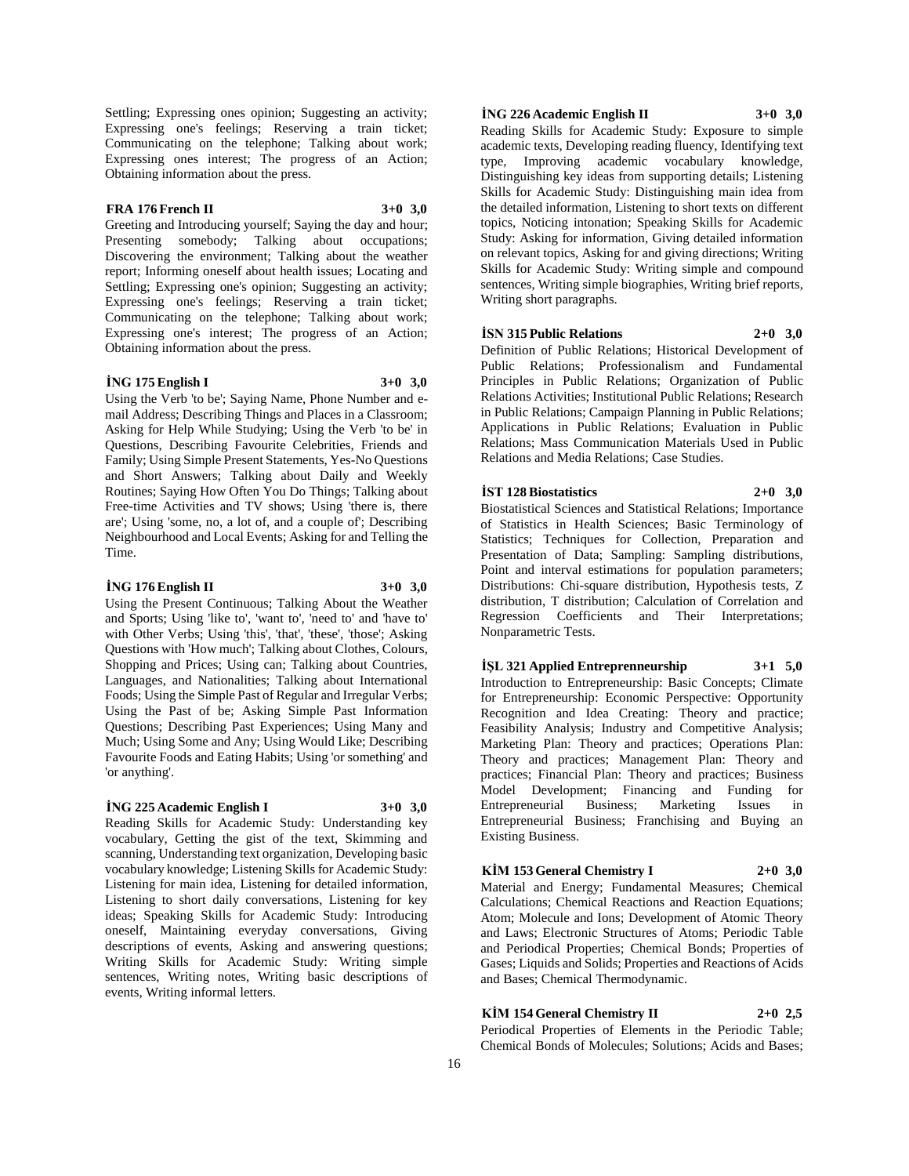Settling; Expressing ones opinion; Suggesting an activity; Expressing one's feelings; Reserving a train ticket; Communicating on the telephone; Talking about work; Expressing ones interest; The progress of an Action; Obtaining information about the press.

### **FRA 176 French II 3+0 3,0**

Greeting and Introducing yourself; Saying the day and hour; Presenting somebody; Talking about occupations; Discovering the environment; Talking about the weather report; Informing oneself about health issues; Locating and Settling; Expressing one's opinion; Suggesting an activity; Expressing one's feelings; Reserving a train ticket; Communicating on the telephone; Talking about work; Expressing one's interest; The progress of an Action; Obtaining information about the press.

#### **İNG 175 English I 3+0 3,0**

Using the Verb 'to be'; Saying Name, Phone Number and email Address; Describing Things and Places in a Classroom; Asking for Help While Studying; Using the Verb 'to be' in Questions, Describing Favourite Celebrities, Friends and Family; Using Simple Present Statements, Yes-No Questions and Short Answers; Talking about Daily and Weekly Routines; Saying How Often You Do Things; Talking about Free-time Activities and TV shows; Using 'there is, there are'; Using 'some, no, a lot of, and a couple of'; Describing Neighbourhood and Local Events; Asking for and Telling the Time.

#### **İNG 176 English II 3+0 3,0**

Using the Present Continuous; Talking About the Weather and Sports; Using 'like to', 'want to', 'need to' and 'have to' with Other Verbs; Using 'this', 'that', 'these', 'those'; Asking Questions with 'How much'; Talking about Clothes, Colours, Shopping and Prices; Using can; Talking about Countries, Languages, and Nationalities; Talking about International Foods; Using the Simple Past of Regular and Irregular Verbs; Using the Past of be; Asking Simple Past Information Questions; Describing Past Experiences; Using Many and Much; Using Some and Any; Using Would Like; Describing Favourite Foods and Eating Habits; Using 'or something' and 'or anything'.

### **İNG 225 Academic English I 3+0 3,0**

Reading Skills for Academic Study: Understanding key vocabulary, Getting the gist of the text, Skimming and scanning, Understanding text organization, Developing basic vocabulary knowledge; Listening Skills for Academic Study: Listening for main idea, Listening for detailed information, Listening to short daily conversations, Listening for key ideas; Speaking Skills for Academic Study: Introducing oneself, Maintaining everyday conversations, Giving descriptions of events, Asking and answering questions; Writing Skills for Academic Study: Writing simple sentences, Writing notes, Writing basic descriptions of events, Writing informal letters.

### **İNG 226 Academic English II 3+0 3,0**

Reading Skills for Academic Study: Exposure to simple academic texts, Developing reading fluency, Identifying text type, Improving academic vocabulary knowledge, Distinguishing key ideas from supporting details; Listening Skills for Academic Study: Distinguishing main idea from the detailed information, Listening to short texts on different topics, Noticing intonation; Speaking Skills for Academic Study: Asking for information, Giving detailed information on relevant topics, Asking for and giving directions; Writing Skills for Academic Study: Writing simple and compound sentences, Writing simple biographies, Writing brief reports, Writing short paragraphs.

#### **İSN 315 Public Relations 2+0 3,0**

Definition of Public Relations; Historical Development of Public Relations; Professionalism and Fundamental Principles in Public Relations; Organization of Public Relations Activities; Institutional Public Relations; Research in Public Relations; Campaign Planning in Public Relations; Applications in Public Relations; Evaluation in Public Relations; Mass Communication Materials Used in Public Relations and Media Relations; Case Studies.

### **İST 128 Biostatistics 2+0 3,0**

Biostatistical Sciences and Statistical Relations; Importance of Statistics in Health Sciences; Basic Terminology of Statistics; Techniques for Collection, Preparation and Presentation of Data; Sampling: Sampling distributions, Point and interval estimations for population parameters; Distributions: Chi-square distribution, Hypothesis tests, Z distribution, T distribution; Calculation of Correlation and Regression Coefficients and Their Interpretations; Nonparametric Tests.

**İŞL 321 Applied Entreprenneurship 3+1 5,0** Introduction to Entrepreneurship: Basic Concepts; Climate for Entrepreneurship: Economic Perspective: Opportunity Recognition and Idea Creating: Theory and practice; Feasibility Analysis; Industry and Competitive Analysis; Marketing Plan: Theory and practices; Operations Plan: Theory and practices; Management Plan: Theory and practices; Financial Plan: Theory and practices; Business Model Development; Financing and Funding for Entrepreneurial Business; Marketing Issues in Entrepreneurial Business; Franchising and Buying an Existing Business.

### **KİM 153 General Chemistry I 2+0 3,0**

Material and Energy; Fundamental Measures; Chemical Calculations; Chemical Reactions and Reaction Equations; Atom; Molecule and Ions; Development of Atomic Theory and Laws; Electronic Structures of Atoms; Periodic Table and Periodical Properties; Chemical Bonds; Properties of Gases; Liquids and Solids; Properties and Reactions of Acids and Bases; Chemical Thermodynamic.

### **KİM 154 General Chemistry II 2+0 2,5**

Periodical Properties of Elements in the Periodic Table; Chemical Bonds of Molecules; Solutions; Acids and Bases;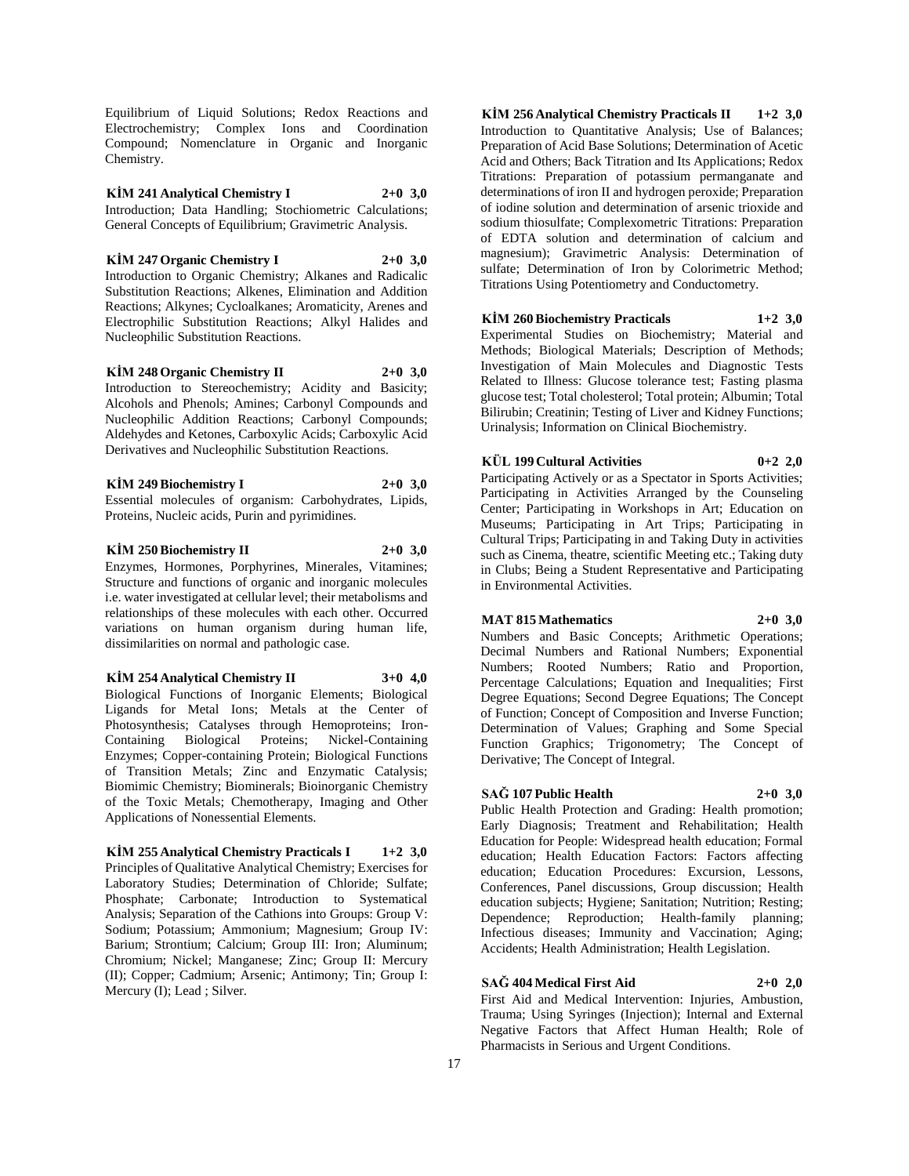Equilibrium of Liquid Solutions; Redox Reactions and Electrochemistry; Complex Ions and Coordination Compound; Nomenclature in Organic and Inorganic Chemistry.

**KİM 241 Analytical Chemistry I 2+0 3,0** Introduction; Data Handling; Stochiometric Calculations; General Concepts of Equilibrium; Gravimetric Analysis.

**KİM 247 Organic Chemistry I 2+0 3,0** Introduction to Organic Chemistry; Alkanes and Radicalic Substitution Reactions; Alkenes, Elimination and Addition Reactions; Alkynes; Cycloalkanes; Aromaticity, Arenes and Electrophilic Substitution Reactions; Alkyl Halides and Nucleophilic Substitution Reactions.

**KİM 248 Organic Chemistry II 2+0 3,0** Introduction to Stereochemistry; Acidity and Basicity; Alcohols and Phenols; Amines; Carbonyl Compounds and Nucleophilic Addition Reactions; Carbonyl Compounds; Aldehydes and Ketones, Carboxylic Acids; Carboxylic Acid Derivatives and Nucleophilic Substitution Reactions.

# **KİM 249 Biochemistry I 2+0 3,0**

Essential molecules of organism: Carbohydrates, Lipids, Proteins, Nucleic acids, Purin and pyrimidines.

### **KİM 250 Biochemistry II 2+0 3,0**

Enzymes, Hormones, Porphyrines, Minerales, Vitamines; Structure and functions of organic and inorganic molecules i.e. water investigated at cellular level; their metabolisms and relationships of these molecules with each other. Occurred variations on human organism during human life, dissimilarities on normal and pathologic case.

#### **KİM 254 Analytical Chemistry II 3+0 4,0**

Biological Functions of Inorganic Elements; Biological Ligands for Metal Ions; Metals at the Center of Photosynthesis; Catalyses through Hemoproteins; Iron-Containing Biological Proteins; Nickel-Containing Enzymes; Copper-containing Protein; Biological Functions of Transition Metals; Zinc and Enzymatic Catalysis; Biomimic Chemistry; Biominerals; Bioinorganic Chemistry of the Toxic Metals; Chemotherapy, Imaging and Other Applications of Nonessential Elements.

**KİM 255 Analytical Chemistry Practicals I 1+2 3,0** Principles of Qualitative Analytical Chemistry; Exercises for Laboratory Studies; Determination of Chloride; Sulfate; Phosphate; Carbonate; Introduction to Systematical Analysis; Separation of the Cathions into Groups: Group V: Sodium; Potassium; Ammonium; Magnesium; Group IV: Barium; Strontium; Calcium; Group III: Iron; Aluminum; Chromium; Nickel; Manganese; Zinc; Group II: Mercury (II); Copper; Cadmium; Arsenic; Antimony; Tin; Group I: Mercury (I); Lead ; Silver.

**KİM 256 Analytical Chemistry Practicals II 1+2 3,0** Introduction to Quantitative Analysis; Use of Balances; Preparation of Acid Base Solutions; Determination of Acetic Acid and Others; Back Titration and Its Applications; Redox Titrations: Preparation of potassium permanganate and determinations of iron II and hydrogen peroxide; Preparation of iodine solution and determination of arsenic trioxide and sodium thiosulfate; Complexometric Titrations: Preparation of EDTA solution and determination of calcium and magnesium); Gravimetric Analysis: Determination of sulfate; Determination of Iron by Colorimetric Method; Titrations Using Potentiometry and Conductometry.

### **KİM 260 Biochemistry Practicals 1+2 3,0**

Experimental Studies on Biochemistry; Material and Methods; Biological Materials; Description of Methods; Investigation of Main Molecules and Diagnostic Tests Related to Illness: Glucose tolerance test; Fasting plasma glucose test; Total cholesterol; Total protein; Albumin; Total Bilirubin; Creatinin; Testing of Liver and Kidney Functions; Urinalysis; Information on Clinical Biochemistry.

### **KÜL 199 Cultural Activities 0+2 2,0**

Participating Actively or as a Spectator in Sports Activities; Participating in Activities Arranged by the Counseling Center; Participating in Workshops in Art; Education on Museums; Participating in Art Trips; Participating in Cultural Trips; Participating in and Taking Duty in activities such as Cinema, theatre, scientific Meeting etc.; Taking duty in Clubs; Being a Student Representative and Participating in Environmental Activities.

### **MAT 815 Mathematics 2+0 3,0**

Numbers and Basic Concepts; Arithmetic Operations; Decimal Numbers and Rational Numbers; Exponential Numbers; Rooted Numbers; Ratio and Proportion, Percentage Calculations; Equation and Inequalities; First Degree Equations; Second Degree Equations; The Concept of Function; Concept of Composition and Inverse Function; Determination of Values; Graphing and Some Special Function Graphics; Trigonometry; The Concept of Derivative; The Concept of Integral.

# **SAĞ 107 Public Health 2+0 3,0**

Public Health Protection and Grading: Health promotion; Early Diagnosis; Treatment and Rehabilitation; Health Education for People: Widespread health education; Formal education; Health Education Factors: Factors affecting education; Education Procedures: Excursion, Lessons, Conferences, Panel discussions, Group discussion; Health education subjects; Hygiene; Sanitation; Nutrition; Resting; Dependence; Reproduction; Health-family planning; Infectious diseases; Immunity and Vaccination; Aging; Accidents; Health Administration; Health Legislation.

### **SAĞ 404 Medical First Aid 2+0 2,0**

First Aid and Medical Intervention: Injuries, Ambustion, Trauma; Using Syringes (Injection); Internal and External Negative Factors that Affect Human Health; Role of Pharmacists in Serious and Urgent Conditions.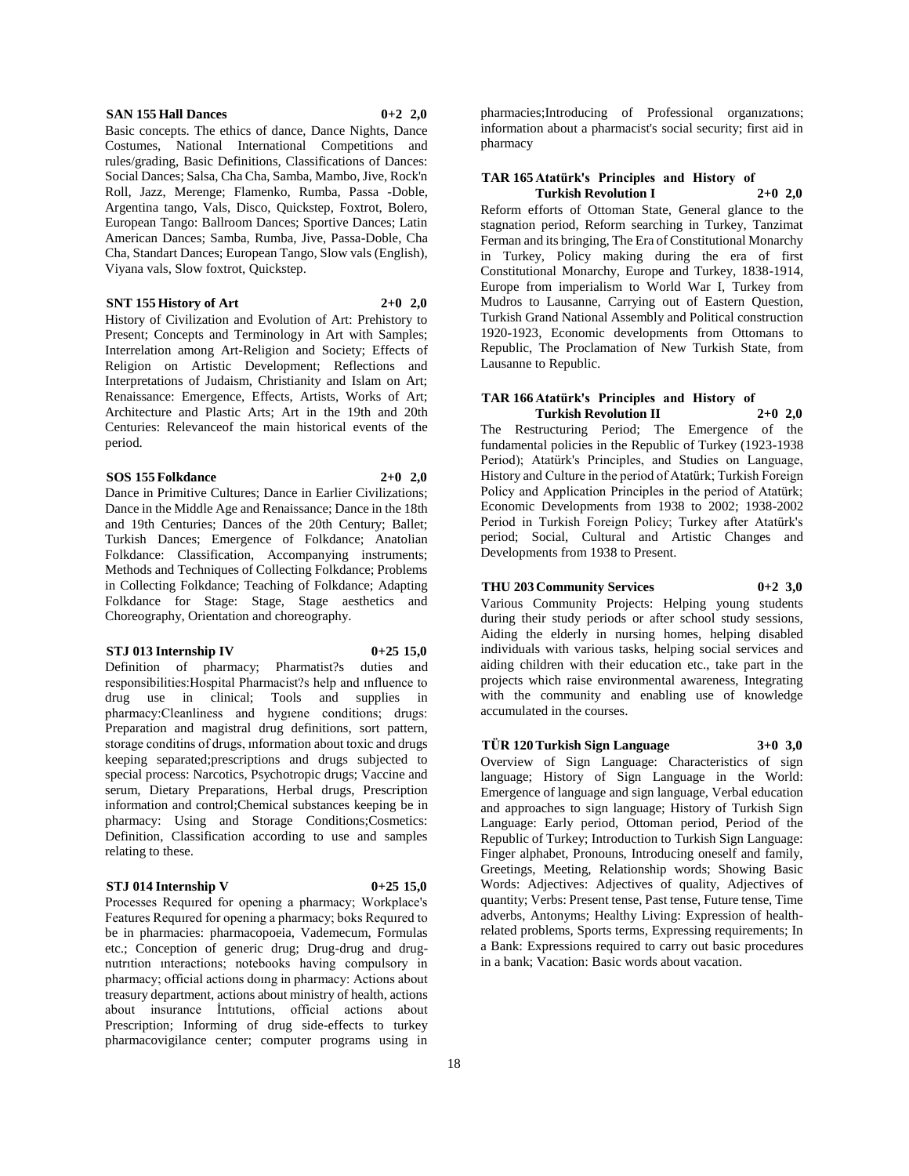#### **SAN 155 Hall Dances 0+2 2,0**

Basic concepts. The ethics of dance, Dance Nights, Dance Costumes, National International Competitions and rules/grading, Basic Definitions, Classifications of Dances: Social Dances; Salsa, Cha Cha, Samba, Mambo, Jive, Rock'n Roll, Jazz, Merenge; Flamenko, Rumba, Passa -Doble, Argentina tango, Vals, Disco, Quickstep, Foxtrot, Bolero, European Tango: Ballroom Dances; Sportive Dances; Latin American Dances; Samba, Rumba, Jive, Passa-Doble, Cha Cha, Standart Dances; European Tango, Slow vals (English), Viyana vals, Slow foxtrot, Quickstep.

### **SNT 155 History of Art 2+0 2,0**

History of Civilization and Evolution of Art: Prehistory to Present; Concepts and Terminology in Art with Samples; Interrelation among Art-Religion and Society; Effects of Religion on Artistic Development; Reflections and Interpretations of Judaism, Christianity and Islam on Art; Renaissance: Emergence, Effects, Artists, Works of Art; Architecture and Plastic Arts; Art in the 19th and 20th Centuries: Relevanceof the main historical events of the period.

#### **SOS 155 Folkdance 2+0 2,0**

Dance in Primitive Cultures; Dance in Earlier Civilizations; Dance in the Middle Age and Renaissance; Dance in the 18th and 19th Centuries; Dances of the 20th Century; Ballet; Turkish Dances; Emergence of Folkdance; Anatolian Folkdance: Classification, Accompanying instruments; Methods and Techniques of Collecting Folkdance; Problems in Collecting Folkdance; Teaching of Folkdance; Adapting Folkdance for Stage: Stage, Stage aesthetics and Choreography, Orientation and choreography.

#### **STJ 013 Internship IV 0+25 15,0**

Definition of pharmacy; Pharmatist?s duties and

responsibilities:Hospital Pharmacist?s help and ınfluence to drug use in clinical; Tools and supplies in pharmacy:Cleanliness and hygıene conditions; drugs: Preparation and magistral drug definitions, sort pattern, storage conditins of drugs, ınformation about toxic and drugs keeping separated;prescriptions and drugs subjected to special process: Narcotics, Psychotropic drugs; Vaccine and serum, Dietary Preparations, Herbal drugs, Prescription information and control;Chemical substances keeping be in pharmacy: Using and Storage Conditions;Cosmetics: Definition, Classification according to use and samples relating to these.

### **STJ 014 Internship V 0+25 15,0**

Processes Requıred for opening a pharmacy; Workplace's Features Requıred for opening a pharmacy; boks Requıred to be in pharmacies: pharmacopoeia, Vademecum, Formulas etc.; Conception of generic drug; Drug-drug and drugnutrıtion ınteractions; notebooks having compulsory in pharmacy; official actions doıng in pharmacy: Actions about treasury department, actions about ministry of health, actions about insurance İntıtutions, official actions about Prescription; Informing of drug side-effects to turkey pharmacovigilance center; computer programs using in

pharmacies;Introducing of Professional organızatıons; information about a pharmacist's social security; first aid in pharmacy

#### **TAR 165 Atatürk's Principles and History of Turkish Revolution I 2+0 2,0**

Reform efforts of Ottoman State, General glance to the stagnation period, Reform searching in Turkey, Tanzimat Ferman and its bringing, The Era of Constitutional Monarchy in Turkey, Policy making during the era of first Constitutional Monarchy, Europe and Turkey, 1838-1914, Europe from imperialism to World War I, Turkey from Mudros to Lausanne, Carrying out of Eastern Question, Turkish Grand National Assembly and Political construction 1920-1923, Economic developments from Ottomans to Republic, The Proclamation of New Turkish State, from Lausanne to Republic.

#### **TAR 166 Atatürk's Principles and History of Turkish Revolution II 2+0 2,0**

The Restructuring Period; The Emergence of the fundamental policies in the Republic of Turkey (1923-1938 Period); Atatürk's Principles, and Studies on Language, History and Culture in the period of Atatürk; Turkish Foreign Policy and Application Principles in the period of Atatürk; Economic Developments from 1938 to 2002; 1938-2002 Period in Turkish Foreign Policy; Turkey after Atatürk's period; Social, Cultural and Artistic Changes and Developments from 1938 to Present.

#### **THU 203 Community Services 0+2 3,0**

Various Community Projects: Helping young students during their study periods or after school study sessions, Aiding the elderly in nursing homes, helping disabled individuals with various tasks, helping social services and aiding children with their education etc., take part in the projects which raise environmental awareness, Integrating with the community and enabling use of knowledge accumulated in the courses.

# **TÜR 120 Turkish Sign Language 3+0 3,0**

Overview of Sign Language: Characteristics of sign language; History of Sign Language in the World: Emergence of language and sign language, Verbal education and approaches to sign language; History of Turkish Sign Language: Early period, Ottoman period, Period of the Republic of Turkey; Introduction to Turkish Sign Language: Finger alphabet, Pronouns, Introducing oneself and family, Greetings, Meeting, Relationship words; Showing Basic Words: Adjectives: Adjectives of quality, Adjectives of quantity; Verbs: Present tense, Past tense, Future tense, Time adverbs, Antonyms; Healthy Living: Expression of healthrelated problems, Sports terms, Expressing requirements; In a Bank: Expressions required to carry out basic procedures in a bank; Vacation: Basic words about vacation.